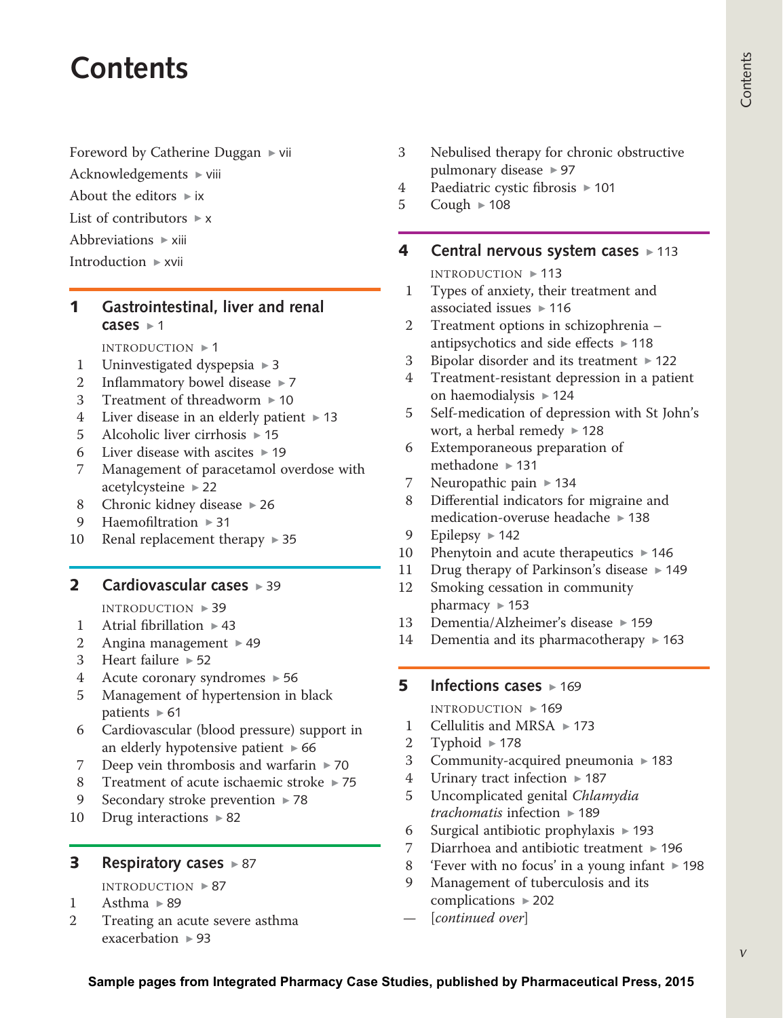# **Contents**

- Foreword by Catherine Duggan ▶ vii
- Acknowledgements ▶ viii
- About the editors  $\triangleright$  ix
- List of contributors  $\triangleright$  x
- Abbreviations  $\blacktriangleright$  xiii
- Introduction ► xvii

#### 1 Gastrointestinal, liver and renal  $cases \, \, \cdot \,$  1

- introduction ▶ 1
- 1 ∪ninvestigated dyspepsia ▶3
- $2<sup>1</sup>$ nflammatory bowel disease  $\blacktriangleright$  7
- 3 Treatment of threadworm ▶ 10
- 4 Liver disease in an elderly patient ► 13
- 5 Alcoholic liver cirrhosis" 15
- 6 Liver disease with ascites  $\blacktriangleright$  19
- <sup>7</sup> Management of paracetamol overdose with acetylcysteine ► 22
- 8 Chronic kidney disease ▶26
- 9 Haemofiltration" 31
- 10 Renal replacement therapy ► 35

#### $\mathbf{z}$ **2** Cardiovascular cases ▶ 39

- introduction ▶ 39
- 1 Atrial fibrillation  $\blacktriangleright$  43
- 2 Angina management ► 49
- 3 Heart failure ▶ 52
- 4 Acute coronary syndromes ▶ 56
- 5 Management of hypertension in black patients ► 61
- 6 Cardiovascular (blood pressure) suppor<sup>t</sup> in an elderly hypotensive patient  $\triangleright$  66
- 7 Deep vein thrombosis and warfarin  $\blacktriangleright$  70
- 8 Treatment of acute ischaemic stroke  $\triangleright$  75
- 9 Secondary stroke prevention ►78
- 10 Drug interactions ▶ 82

#### 3**3** Respiratory cases  $\triangleright$  87

INTRODUCTION ▶ **87** 

- 1 Asthma ⊳ 89
- <sup>2</sup> Treating an acute severe asthma exacerbation  $\,$  93
- <sup>3</sup> Nebulised therapy for chronic obstructive pulmonary disease ► 97
- <sup>4</sup> Paediatric cystic fibrosis" 101
- 5 Cough ► 108

#### 44 Central nervous system cases > 113

INTRODUCTION" 113

- <sup>1</sup> Types of anxiety, their treatment and associated issues  $\,$  116
- 2 Treatment options in schizophrenia antipsychotics and side effects ► 118
- 3 Bipolar disorder and its treatment " 122
- <sup>4</sup> Treatment-resistant depression in <sup>a</sup> patient on haemodialysis ► 124
- 5 Self-medication of depression with St John'<sup>s</sup> wort, a herbal remedy ▶ 128
- 6 Extemporaneous preparation of methadone" 131
- 7 Neuropathic pain ▶ 134
- 8 Di fferential indicators for migraine and medication-overuse headache ► 138
- 9 Epilepsy ► 142
- 10 Phenytoin and acute therapeutics ► 146
- 11 Drug therapy of Parkinson's disease ▶ 149
- <sup>12</sup> Smoking cessation in community pharmacy *⊳* 153
- 13 Dementia/Alzheimer's disease ▶ 159
- 14 Dementia and its pharmacotherapy ► 163

#### 5**5** Infections cases  $\triangleright$  169

INTRODUCTION" 169

- 1 Cellulitis and MRSA  $\,$   $\triangleright$  173
- 2 Typhoid ▶ 178
- 3 Community-acquired pneumonia ▶ 183
- 4 Urinary tract infection ► 187
- 5 Uncomplicated genital Chlamydia t*rachomatis* infection » 189
- 6 Surgical antibiotic prophylaxis " 193
- 7 Diarrhoea and antibiotic treatment ▶ 196
- 8'Fever with no focus' in <sup>a</sup> young infant " 198
- 9 Management of tuberculosis and its complications ▶ 202
- [continued over]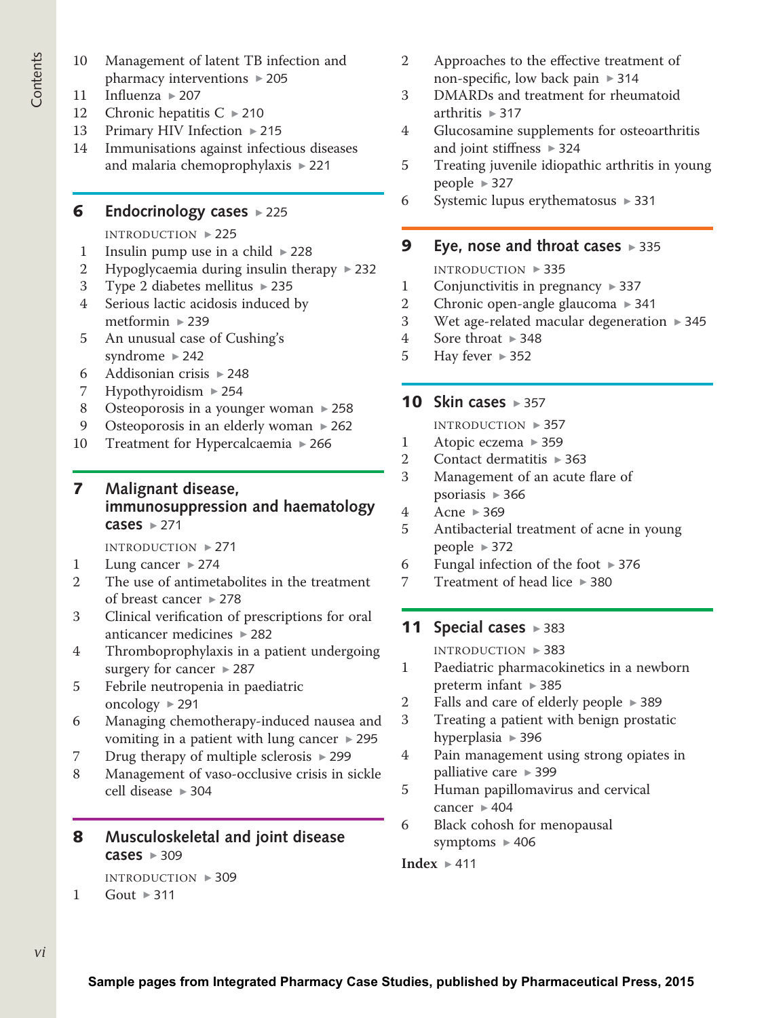- Contents Contents
- <sup>10</sup> Management of latent TB infection and pharmacy interventions  $\blacktriangleright$  205
- $11$ nfluenza **⊳** 207
- 12 Chronic hepatitis C ► 210
- 13 Primary HIV Infection ▶ 215
- <sup>14</sup> Immunisations against infectious diseases and malaria chemoprophylaxis ▶ 221

#### 66 Endocrinology cases  $\triangleright$  225

INTRODUCTION" 225

- 1 Insulin pump use in a child ► 228
- <sup>2</sup> Hypoglycaemia during insulin therapy " 232
- 3 Type 2 diabetes mellitus ▶ 235
- <sup>4</sup> Serious lactic acidosis induced by metformin *►* 239
- 5 An unusual case of Cushing'<sup>s</sup> syndrome ► 242
- 6 Addisonian crisis ▶ 248
- 7 Hypothyroidism ► 254
- 8 Osteoporosis in a younger woman ► 258
- 9 Osteoporosis in an elderly woman  $\triangleright$  262
- 10 Treatment for Hypercalcaemia ► 266
- 7 Malignant disease, immunosuppression and haematology  $cases \, \geqslant 271$ 
	- INTRODUCTION" 271
- 1 Lung cancer ► 274
- 2 The use of antimetabolites in the treatment of breast cancer ▶ 278
- 3 Clinical veri fication of prescriptions for oral anticancer medicines ▶ 282
- <sup>4</sup> Thromboprophylaxis in <sup>a</sup> patient undergoing surgery for cancer ▶ 287
- 5 Febrile neutropenia in paediatric oncology ▶ 291
- 6 Managing chemotherapy-induced nausea and vomiting in a patient with lung cancer  $\triangleright$  295
- 7 Drug therapy of multiple sclerosis  $\triangleright$  299
- <sup>8</sup> Management of vaso-occlusive crisis in sickle cell disease ► 304

#### 8 Musculoskeletal and joint disease  $cases \, \geqslant 309$

Introduction ▶ 309 1 Gout **⊳** 311

- 2 Approaches to the <sup>e</sup> ffective treatment of non-specific, low back pain ▶ 314
- 3 DMARDs and treatment for rheumatoid arthritis ► 317
- <sup>4</sup> Glucosamine supplements for osteoarthritis and joint sti ffness " 324
- 5 Treating juvenile idiopathic arthritis in young people ▶ 327
- 6 Systemic lupus erythematosus ► 331

#### 9**9** Eye, nose and throat cases  $\triangleright$  335

INTRODUCTION" 335

- 1 Conjunctivitis in pregnancy ► 337
- 2 Chronic open-angle glaucoma ▶341
- 3 Wet age-related macular degeneration ▶345
- 4 Sore throat ▶ 348
- 5 Hay fever ▶ 352

## **10** Skin cases  $\triangleright$  357

- INTRODUCTION" 357
- 1 Atopic eczema ▶ 359
- 2 Contact dermatitis" 363
- <sup>3</sup> Management of an acute flare of psoriasis **⊳** 366
- 4 Acne" 369
- 5 Antibacterial treatment of acne in young people ► 372
- 6 Fungal infection of the foot ▶ 376
- 7 Treatment of head lice ▶ 380

## **11 Special cases ► 383**

INTRODUCTION" 383

- <sup>1</sup> Paediatric pharmacokinetics in <sup>a</sup> newborn preterm infant ▶ 385
- 2 Falls and care of elderly people ▶389
- <sup>3</sup> Treating <sup>a</sup> patient with benign prostatic hyperplasia ▶ 396
- 4 Pain managemen<sup>t</sup> using strong opiates in palliative care ▶ 399
- 5 Human papillomavirus and cervical cancer <del>⊳</del> 404
- 6 Black cohosh for menopausal symptoms ⊳ 406

Index  $\,blacktriangleright$  411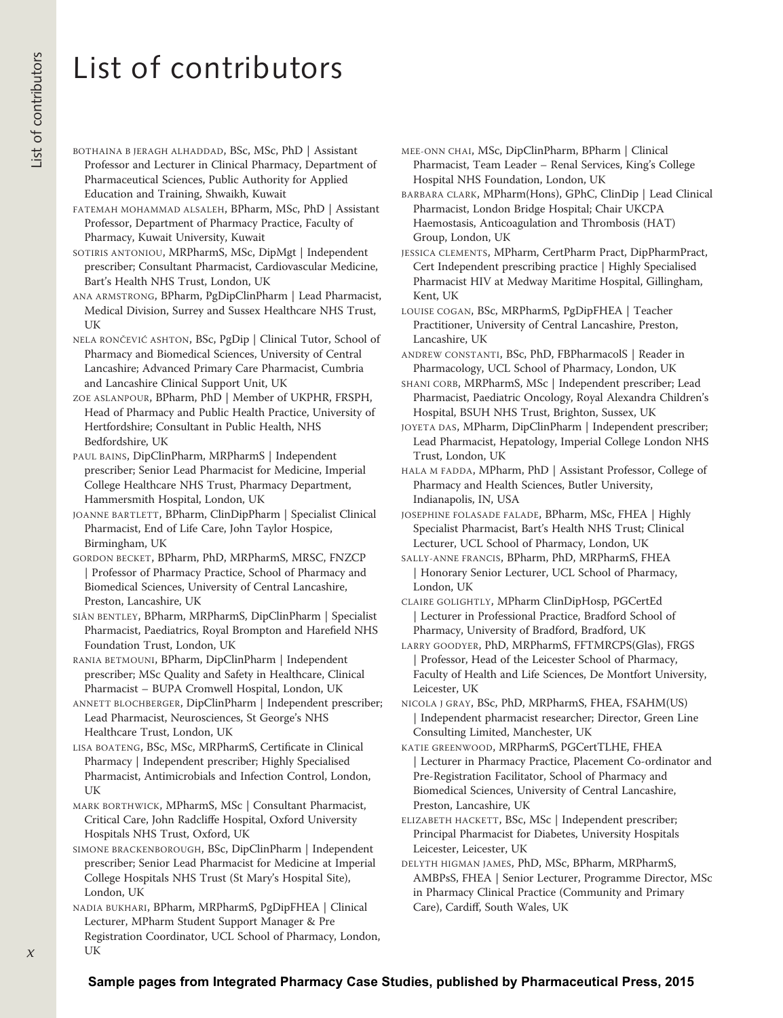# List of contributors

- BOTHAINA <sup>B</sup> JERAGH ALHADDAD, BSc, MSc, PhD | Assistant Professor and Lecturer in Clinical Pharmacy, Department of Pharmaceutical Sciences, Public Authority for Applied Education and Training, Shwaikh, Kuwait
- FATEMAH MOHAMMAD ALSALEH, BPharm, MSc, PhD | Assistant Professor, Department of Pharmacy Practice, Faculty of Pharmacy, Kuwait University, Kuwait
- SOTIRIS ANTONIOU, MRPharmS, MSc, DipMgt | Independent prescriber; Consultant Pharmacist, Cardiovascular Medicine, Bart'<sup>s</sup> Health NHS Trust, London, UK
- ANA ARMSTRONG, BPharm, PgDipClinPharm | Lead Pharmacist, Medical Division, Surrey and Sussex Healthcare NHS Trust, **IK**
- NELA RONČEVIĆ ASHTON, BSc, PgDip | Clinical Tutor, School of Pharmacy and Biomedical Sciences, University of Central Lancashire; Advanced Primary Care Pharmacist, Cumbria and Lancashire Clinical Support Unit, UK
- ZOE ASLANPOUR, BPharm, PhD | Member of UKPHR, FRSPH, Head of Pharmacy and Public Health Practice, University of Hertfordshire; Consultant in Public Health, NHS Bedfordshire, UK
- PAUL BAINS, DipClinPharm, MRPharmS | Independent prescriber; Senior Lead Pharmacist for Medicine, Imperial College Healthcare NHS Trust, Pharmacy Department, Hammersmith Hospital, London, UK
- JOANNE BARTLETT, BPharm, ClinDipPharm | Specialist Clinical Pharmacist, End of Life Care, John Taylor Hospice, Birmingham, UK
- GORDON BECKET, BPharm, PhD, MRPharmS, MRSC, FNZCP | Professor of Pharmacy Practice, School of Pharmacy and Biomedical Sciences, University of Central Lancashire, Preston, Lancashire, UK
- SIÂN BENTLEY, BPharm, MRPharmS, DipClinPharm | Specialist Pharmacist, Paediatrics, Royal Brompton and Harefield NHS Foundation Trust, London, UK
- RANIA BETMOUNI, BPharm, DipClinPharm | Independent prescriber; MSc Quality and Safety in Healthcare, Clinical Pharmacist – BUPA Cromwell Hospital, London, UK
- ANNETT BLOCHBERGER, DipClinPharm | Independent prescriber; Lead Pharmacist, Neurosciences, St George'<sup>s</sup> NHS Healthcare Trust, London, UK
- LISA BOATENG, BSc, MSc, MRPharmS, Certificate in Clinical Pharmacy | Independent prescriber; Highly Specialised Pharmacist, Antimicrobials and Infection Control, London, UK
- MARK BORTHWICK, MPharmS, MSc | Consultant Pharmacist, Critical Care, John Radcli ff<sup>e</sup> Hospital, Oxford University Hospitals NHS Trust, Oxford, UK
- SIMONE BRACKENBOROUGH, BSc, DipClinPharm | Independent prescriber; Senior Lead Pharmacist for Medicine at Imperial College Hospitals NHS Trust (St Mary'<sup>s</sup> Hospital Site), London, UK
- NADIA BUKHARI, BPharm, MRPharmS, PgDipFHEA | Clinical Lecturer, MPharm Student Support Manager & Pre Registration Coordinator, UCL School of Pharmacy, London, UK
- MEE-ONN CHAI, MSc, DipClinPharm, BPharm | Clinical Pharmacist, Team Leader – Renal Services, King'<sup>s</sup> College Hospital NHS Foundation, London, UK
- BARBARA CLARK, MPharm(Hons), GPhC, ClinDip | Lead Clinical Pharmacist, London Bridge Hospital; Chair UKCPA Haemostasis, Anticoagulation and Thrombosis (HAT) Group, London, UK
- JESSICA CLEMENTS, MPharm, CertPharm Pract, DipPharmPract, Cert Independent prescribing practice | Highly Specialised Pharmacist HIV at Medway Maritime Hospital, Gillingham, Kent, UK
- LOUISE COGAN, BSc, MRPharmS, PgDipFHEA | Teacher Practitioner, University of Central Lancashire, Preston, Lancashire, UK
- ANDREW CONSTANTI, BSc, PhD, FBPharmacolS | Reader in Pharmacology, UCL School of Pharmacy, London, UK
- SHANI CORB, MRPharmS, MSc | Independent prescriber; Lead Pharmacist, Paediatric Oncology, Royal Alexandra Children'<sup>s</sup> Hospital, BSUH NHS Trust, Brighton, Sussex, UK
- JOYETA DAS, MPharm, DipClinPharm | Independent prescriber; Lead Pharmacist, Hepatology, Imperial College London NHS Trust, London, UK
- HALA <sup>M</sup> FADDA, MPharm, PhD | Assistant Professor, College of Pharmacy and Health Sciences, Butler University, Indianapolis, IN, USA
- JOSEPHINE FOLASADE FALADE, BPharm, MSc, FHEA | Highly Specialist Pharmacist, Bart'<sup>s</sup> Health NHS Trust; Clinical Lecturer, UCL School of Pharmacy, London, UK
- SALLY-ANNE FRANCIS, BPharm, PhD, MRPharmS, FHEA | Honorary Senior Lecturer, UCL School of Pharmacy, London, UK
- CLAIRE GOLIGHTLY, MPharm ClinDipHosp, PGCertEd | Lecturer in Professional Practice, Bradford School of Pharmacy, University of Bradford, Bradford, UK
- LARRY GOODYER, PhD, MRPharmS, FFTMRCPS(Glas), FRGS Professor, Head of the Leicester School of Pharmacy, Faculty of Health and Life Sciences, De Montfort University, Leicester, UK
- NICOLA <sup>J</sup> GRAY, BSc, PhD, MRPharmS, FHEA, FSAHM(US) | Independent pharmacist researcher; Director, Green Line Consulting Limited, Manchester, UK
- KATIE GREENWOOD, MRPharmS, PGCertTLHE, FHEA | Lecturer in Pharmacy Practice, Placement Co-ordinator and Pre-Registration Facilitator, School of Pharmacy and Biomedical Sciences, University of Central Lancashire, Preston, Lancashire, UK
- ELIZABETH HACKETT, BSc, MSc | Independent prescriber; Principal Pharmacist for Diabetes, University Hospitals Leicester, Leicester, UK
- DELYTH HIGMAN JAMES, PhD, MSc, BPharm, MRPharmS, AMBPsS, FHEA | Senior Lecturer, Programme Director, MSc in Pharmacy Clinical Practice (Community and Primary Care), Cardi ff, South Wales, UK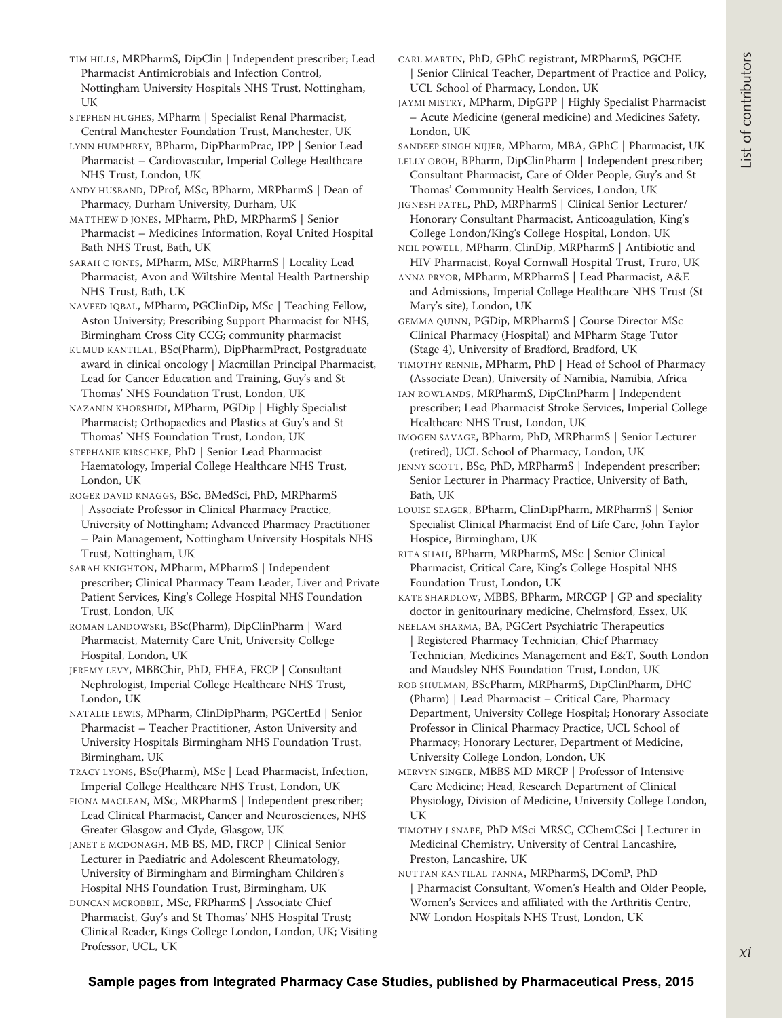TIM HILLS, MRPharmS, DipClin | Independent prescriber; Lead Pharmacist Antimicrobials and Infection Control, Nottingham University Hospitals NHS Trust, Nottingham, UK

STEPHEN HUGHES, MPharm | Specialist Renal Pharmacist, Central Manchester Foundation Trust, Manchester, UK

LYNN HUMPHREY, BPharm, DipPharmPrac, IPP | Senior Lead Pharmacist – Cardiovascular, Imperial College Healthcare NHS Trust, London, UK

ANDY HUSBAND, DProf, MSc, BPharm, MRPharmS | Dean of Pharmacy, Durham University, Durham, UK

MATTHEW <sup>D</sup> JONES, MPharm, PhD, MRPharmS | Senior Pharmacist – Medicines Information, Royal United Hospital Bath NHS Trust, Bath, UK

SARAH <sup>C</sup> JONES, MPharm, MSc, MRPharmS | Locality Lead Pharmacist, Avon and Wiltshire Mental Health Partnership NHS Trust, Bath, UK

NAVEED IQBAL, MPharm, PGClinDip, MSc | Teaching Fellow, Aston University; Prescribing Support Pharmacist for NHS, Birmingham Cross City CCG; community pharmacist

KUMUD KANTILAL, BSc(Pharm), DipPharmPract, Postgraduate award in clinical oncology | Macmillan Principal Pharmacist, Lead for Cancer Education and Training, Guy'<sup>s</sup> and St Thomas' NHS Foundation Trust, London, UK

NAZANIN KHORSHIDI, MPharm, PGDip | Highly Specialist Pharmacist; Orthopaedics and Plastics at Guy'<sup>s</sup> and St Thomas' NHS Foundation Trust, London, UK

STEPHANIE KIRSCHKE, PhD | Senior Lead Pharmacist Haematology, Imperial College Healthcare NHS Trust, London, UK

ROGER DAVID KNAGGS, BSc, BMedSci, PhD, MRPharmS | Associate Professor in Clinical Pharmacy Practice, University of Nottingham; Advanced Pharmacy Practitioner – Pain Management, Nottingham University Hospitals NHS Trust, Nottingham, UK

SARAH KNIGHTON, MPharm, MPharmS | Independent prescriber; Clinical Pharmacy Team Leader, Liver and Private Patient Services, King'<sup>s</sup> College Hospital NHS Foundation Trust, London, UK

ROMAN LANDOWSKI, BSc(Pharm), DipClinPharm | Ward Pharmacist, Maternity Care Unit, University College Hospital, London, UK

JEREMY LEVY, MBBChir, PhD, FHEA, FRCP | Consultant Nephrologist, Imperial College Healthcare NHS Trust, London, UK

NATALIE LEWIS, MPharm, ClinDipPharm, PGCertEd | Senior Pharmacist – Teacher Practitioner, Aston University and University Hospitals Birmingham NHS Foundation Trust, Birmingham, UK

TRACY LYONS, BSc(Pharm), MSc | Lead Pharmacist, Infection, Imperial College Healthcare NHS Trust, London, UK

FIONA MACLEAN, MSc, MRPharmS | Independent prescriber; Lead Clinical Pharmacist, Cancer and Neurosciences, NHS Greater Glasgow and Clyde, Glasgow, UK

JANET <sup>E</sup> MCDONAGH, MB BS, MD, FRCP | Clinical Senior Lecturer in Paediatric and Adolescent Rheumatology, University of Birmingham and Birmingham Children'<sup>s</sup> Hospital NHS Foundation Trust, Birmingham, UK

DUNCAN MCROBBIE, MSc, FRPharmS | Associate Chief Pharmacist, Guy'<sup>s</sup> and St Thomas' NHS Hospital Trust; Clinical Reader, Kings College London, London, UK; Visiting Professor, UCL, UK

CARL MARTIN, PhD, GPhC registrant, MRPharmS, PGCHE | Senior Clinical Teacher, Department of Practice and Policy, UCL School of Pharmacy, London, UK

JAYMI MISTRY, MPharm, DipGPP | Highly Specialist Pharmacist – Acute Medicine (general medicine) and Medicines Safety, London, UK

SANDEEP SINGH NIJJER, MPharm, MBA, GPhC | Pharmacist, UK LELLY OBOH, BPharm, DipClinPharm | Independent prescriber; Consultant Pharmacist, Care of Older People, Guy'<sup>s</sup> and St Thomas' Community Health Services, London, UK

JIGNESH PATEL, PhD, MRPharmS | Clinical Senior Lecturer/ Honorary Consultant Pharmacist, Anticoagulation, King'<sup>s</sup> College London/King'<sup>s</sup> College Hospital, London, UK

NEIL POWELL, MPharm, ClinDip, MRPharmS | Antibiotic and HIV Pharmacist, Royal Cornwall Hospital Trust, Truro, UK

ANNA PRYOR, MPharm, MRPharmS | Lead Pharmacist, A&E and Admissions, Imperial College Healthcare NHS Trust (St Mary'<sup>s</sup> site), London, UK

GEMMA QUINN, PGDip, MRPharmS | Course Director MSc Clinical Pharmacy (Hospital) and MPharm Stage Tutor (Stage 4), University of Bradford, Bradford, UK

TIMOTHY RENNIE, MPharm, PhD | Head of School of Pharmacy (Associate Dean), University of Namibia, Namibia, Africa

IAN ROWLANDS, MRPharmS, DipClinPharm | Independent prescriber; Lead Pharmacist Stroke Services, Imperial College Healthcare NHS Trust, London, UK

IMOGEN SAVAGE, BPharm, PhD, MRPharmS | Senior Lecturer (retired), UCL School of Pharmacy, London, UK

JENNY SCOTT, BSc, PhD, MRPharmS | Independent prescriber; Senior Lecturer in Pharmacy Practice, University of Bath, Bath, UK

LOUISE SEAGER, BPharm, ClinDipPharm, MRPharmS | Senior Specialist Clinical Pharmacist End of Life Care, John Taylor Hospice, Birmingham, UK

RITA SHAH, BPharm, MRPharmS, MSc | Senior Clinical Pharmacist, Critical Care, King'<sup>s</sup> College Hospital NHS Foundation Trust, London, UK

KATE SHARDLOW, MBBS, BPharm, MRCGP | GP and speciality doctor in genitourinary medicine, Chelmsford, Essex, UK

NEELAM SHARMA, BA, PGCert Psychiatric Therapeutics | Registered Pharmacy Technician, Chief Pharmacy Technician, Medicines Management and E&T, South London and Maudsley NHS Foundation Trust, London, UK

ROB SHULMAN, BScPharm, MRPharmS, DipClinPharm, DHC (Pharm) | Lead Pharmacist – Critical Care, Pharmacy Department, University College Hospital; Honorary Associate Professor in Clinical Pharmacy Practice, UCL School of Pharmacy; Honorary Lecturer, Department of Medicine, University College London, London, UK

MERVYN SINGER, MBBS MD MRCP | Professor of Intensive Care Medicine; Head, Research Department of Clinical Physiology, Division of Medicine, University College London, **UK** 

TIMOTHY <sup>J</sup> SNAPE, PhD MSci MRSC, CChemCSci | Lecturer in Medicinal Chemistry, University of Central Lancashire, Preston, Lancashire, UK

NUTTAN KANTILAL TANNA, MRPharmS, DComP, PhD | Pharmacist Consultant, Women'<sup>s</sup> Health and Older People, Women'<sup>s</sup> Services and <sup>a</sup> ffiliated with the Arthritis Centre, NW London Hospitals NHS Trust, London, UK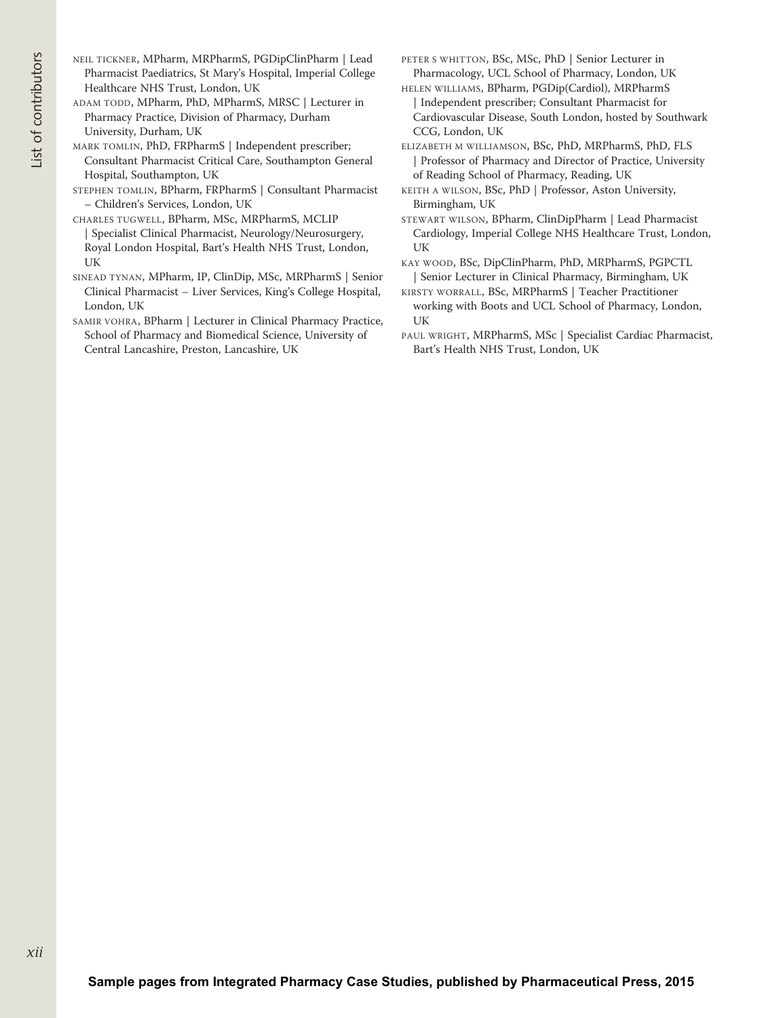- List of contributors List of contributors
- NEIL TICKNER, MPharm, MRPharmS, PGDipClinPharm | Lead Pharmacist Paediatrics, St Mary'<sup>s</sup> Hospital, Imperial College Healthcare NHS Trust, London, UK
- ADAM TODD, MPharm, PhD, MPharmS, MRSC | Lecturer in Pharmacy Practice, Division of Pharmacy, Durham University, Durham, UK
- MARK TOMLIN, PhD, FRPharmS | Independent prescriber; Consultant Pharmacist Critical Care, Southampton General Hospital, Southampton, UK
- STEPHEN TOMLIN, BPharm, FRPharmS | Consultant Pharmacist – Children'<sup>s</sup> Services, London, UK
- CHARLES TUGWELL, BPharm, MSc, MRPharmS, MCLIP | Specialist Clinical Pharmacist, Neurology/Neurosurgery, Royal London Hospital, Bart'<sup>s</sup> Health NHS Trust, London, UK
- SINEAD TYNAN, MPharm, IP, ClinDip, MSc, MRPharmS | Senior Clinical Pharmacist – Liver Services, King'<sup>s</sup> College Hospital, London, UK
- SAMIR VOHRA, BPharm | Lecturer in Clinical Pharmacy Practice, School of Pharmacy and Biomedical Science, University of Central Lancashire, Preston, Lancashire, UK
- PETER <sup>S</sup> WHITTON, BSc, MSc, PhD | Senior Lecturer in Pharmacology, UCL School of Pharmacy, London, UK
- HELEN WILLIAMS, BPharm, PGDip(Cardiol), MRPharmS Independent prescriber; Consultant Pharmacist for Cardiovascular Disease, South London, hosted by Southwark CCG, London, UK
- ELIZABETH <sup>M</sup> WILLIAMSON, BSc, PhD, MRPharmS, PhD, FLS | Professor of Pharmacy and Director of Practice, University of Reading School of Pharmacy, Reading, UK
- KEITH <sup>A</sup> WILSON, BSc, PhD | Professor, Aston University, Birmingham, UK
- STEWART WILSON, BPharm, ClinDipPharm | Lead Pharmacist Cardiology, Imperial College NHS Healthcare Trust, London, UK
- KAY WOOD, BSc, DipClinPharm, PhD, MRPharmS, PGPCTL | Senior Lecturer in Clinical Pharmacy, Birmingham, UK
- KIRSTY WORRALL, BSc, MRPharmS | Teacher Practitioner working with Boots and UCL School of Pharmacy, London, UK
- PAUL WRIGHT, MRPharmS, MSc | Specialist Cardiac Pharmacist, Bart'<sup>s</sup> Health NHS Trust, London, UK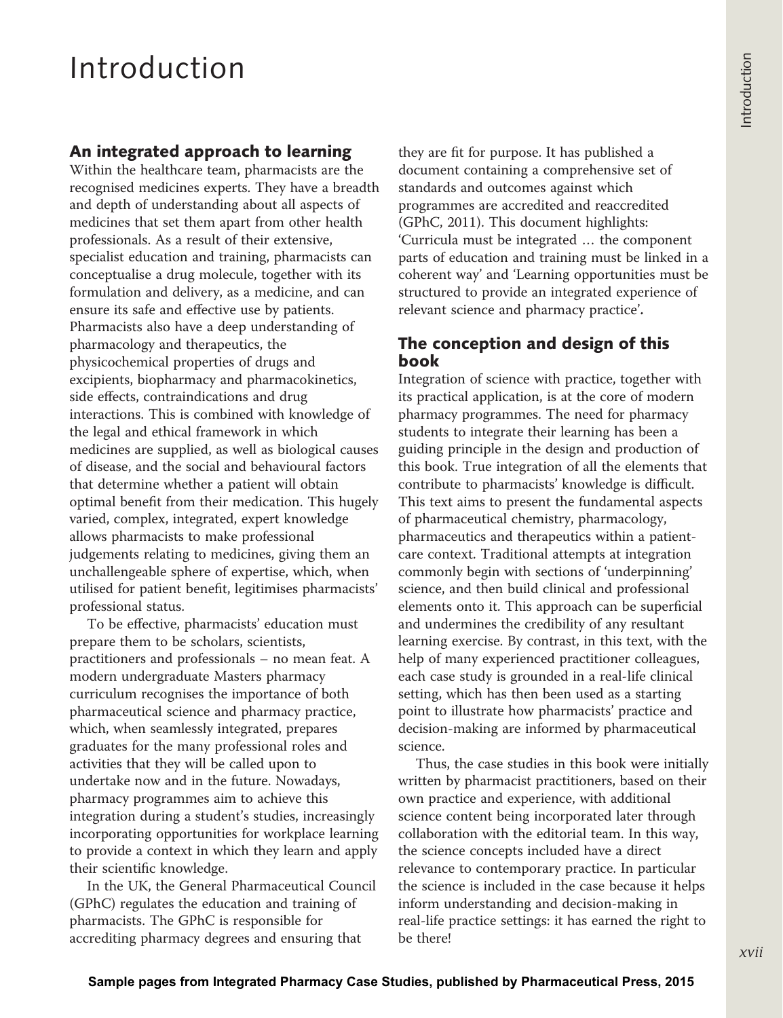# Introduction

## An integrated approach to learning

Within the healthcare team, pharmacists are the recognised medicines experts. They have <sup>a</sup> breadth and depth of understanding about all aspects of medicines that set them apar<sup>t</sup> from other health professionals. As <sup>a</sup> result of their extensive, specialist education and training, pharmacists can conceptualise <sup>a</sup> drug molecule, together with its formulation and delivery, as <sup>a</sup> medicine, and can ensure its safe and <sup>e</sup>ffective use by patients. Pharmacists also have <sup>a</sup> deep understanding of pharmacology and therapeutics, the physicochemical properties of drugs and excipients, biopharmacy and pharmacokinetics, side <sup>e</sup>ffects, contraindications and drug interactions. This is combined with knowledge of the legal and ethical framework in which medicines are supplied, as well as biological causes of disease, and the social and behavioural factors that determine whether <sup>a</sup> patient will obtain optimal benefi<sup>t</sup> from their medication. This hugely varied, complex, integrated, exper<sup>t</sup> knowledge allows pharmacists to make professional judgements relating to medicines, giving them an unchallengeable sphere of expertise, which, when utilised for patient benefit, legitimises pharmacists' professional status.

To be <sup>e</sup>ffective, pharmacists' education must prepare them to be scholars, scientists, practitioners and professionals – no mean feat. A modern undergraduate Masters pharmacy curriculum recognises the importance of both pharmaceutical science and pharmacy practice, which, when seamlessly integrated, prepares graduates for the many professional roles and activities that they will be called upon to undertake now and in the future. Nowadays, pharmacy programmes aim to achieve this integration during <sup>a</sup> student'<sup>s</sup> studies, increasingly incorporating opportunities for workplace learning to provide <sup>a</sup> context in which they learn and apply their scientifi<sup>c</sup> knowledge.

In the UK, the General Pharmaceutical Council (GPhC) regulates the education and training of pharmacists. The GPhC is responsible for accrediting pharmacy degrees and ensuring that

they are fi<sup>t</sup> for purpose. It has published <sup>a</sup> document containing <sup>a</sup> comprehensive set of standards and outcomes against which programmes are accredited and reaccredited (GPhC, 2011). This document highlights: 'Curricula must be integrated ... the componen<sup>t</sup> parts of education and training must be linked in <sup>a</sup> coherent way' and 'Learning opportunities must be structured to provide an integrated experience of relevant science and pharmacy practice'.

## The conception and design of this book

Integration of science with practice, together with its practical application, is at the core of modern pharmacy programmes. The need for pharmacy students to integrate their learning has been <sup>a</sup> guiding principle in the design and production of this book. True integration of all the elements that contribute to pharmacists' knowledge is difficult. This text aims to presen<sup>t</sup> the fundamental aspects of pharmaceutical chemistry, pharmacology, pharmaceutics and therapeutics within <sup>a</sup> patientcare context. Traditional attempts at integration commonly begin with sections of 'underpinning' science, and then build clinical and professional elements onto it. This approach can be superficial and undermines the credibility of any resultant learning exercise. By contrast, in this text, with the help of many experienced practitioner colleagues, each case study is grounded in <sup>a</sup> real-life clinical setting, which has then been used as <sup>a</sup> starting point to illustrate how pharmacists' practice and decision-making are informed by pharmaceutical science.

Thus, the case studies in this book were initially written by pharmacist practitioners, based on their own practice and experience, with additional science content being incorporated later through collaboration with the editorial team. In this way, the science concepts included have <sup>a</sup> direct relevance to contemporary practice. In particular the science is included in the case because it helps inform understanding and decision-making in real-life practice settings: it has earned the right to be there!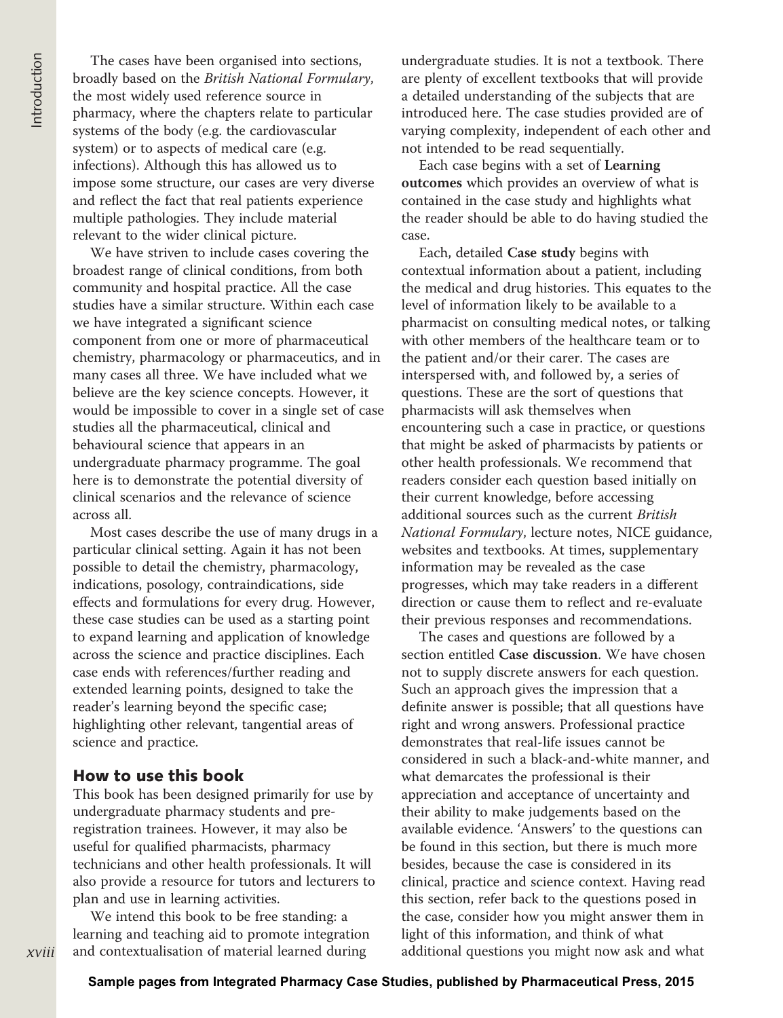The cases have been organised into sections, broadly based on the British National Formulary, the most widely used reference source in pharmacy, where the chapters relate to particular systems of the body (e.g. the cardiovascular system) or to aspects of medical care (e.g. infections). Although this has allowed us to impose some structure, our cases are very diverse and re flect the fact that real patients experience multiple pathologies. They include material relevant to the wider clinical picture.

We have striven to include cases covering the broadest range of clinical conditions, from both community and hospital practice. All the case studies have <sup>a</sup> similar structure. Within each casewe have integrated <sup>a</sup> signi ficant science componen<sup>t</sup> from one or more of pharmaceutical chemistry, pharmacology or pharmaceutics, and in many cases all three. We have included what we believe are the key science concepts. However, it would be impossible to cover in <sup>a</sup> single set of case studies all the pharmaceutical, clinical and behavioural science that appears in an undergraduate pharmacy programme. The goal here is to demonstrate the potential diversity of clinical scenarios and the relevance of scienceacross all.

Most cases describe the use of many drugs in <sup>a</sup> particular clinical setting. Again it has not been possible to detail the chemistry, pharmacology, indications, posology, contraindications, side <sup>e</sup>ffects and formulations for every drug. However, these case studies can be used as <sup>a</sup> starting point to expand learning and application of knowledge across the science and practice disciplines. Each case ends with references/further reading and extended learning points, designed to take the reader'<sup>s</sup> learning beyond the spec<sup>i</sup> fi<sup>c</sup> case; highlighting other relevant, tangential areas of science and practice.

## How to use this book

This book has been designed primarily for use by undergraduate pharmacy students and preregistration trainees. However, it may also be useful for quali fied pharmacists, pharmacy technicians and other health professionals. It will also provide <sup>a</sup> resource for tutors and lecturers to plan and use in learning activities.

We intend this book to be free standing: <sup>a</sup> learning and teaching aid to promote integration and contextualisation of material learned during

undergraduate studies. It is not <sup>a</sup> textbook. There are plenty of excellent textbooks that will provide <sup>a</sup> detailed understanding of the subjects that are introduced here. The case studies provided are of varying complexity, independent of each other and not intended to be read sequentially.

Each case begins with <sup>a</sup> set of Learning outcomes which provides an overview of what is contained in the case study and highlights what the reader should be able to do having studied the case.

Each, detailed Case study begins with contextual information about <sup>a</sup> patient, including the medical and drug histories. This equates to the level of information likely to be available to <sup>a</sup> pharmacist on consulting medical notes, or talking with other members of the healthcare team or to the patient and/or their carer. The cases are interspersed with, and followed by, <sup>a</sup> series of questions. These are the sort of questions that pharmacists will ask themselves when encountering such <sup>a</sup> case in practice, or questions that might be asked of pharmacists by patients or other health professionals. We recommend that readers consider each question based initially on their current knowledge, before accessing additional sources such as the current *British* National Formulary, lecture notes, NICE guidance, websites and textbooks. At times, supplementary information may be revealed as the case progresses, which may take readers in a different direction or cause them to reflect and re-evaluatetheir previous responses and recommendations.

The cases and questions are followed by <sup>a</sup> section entitled Case discussion. We have chosennot to supply discrete answers for each question. Such an approach gives the impression that <sup>a</sup> de finite answer is possible; that all questions have right and wrong answers. Professional practice demonstrates that real-life issues cannot beconsidered in such <sup>a</sup> black-and-white manner, and what demarcates the professional is their appreciation and acceptance of uncertainty and their ability to make judgements based on the available evidence. 'Answers' to the questions can be found in this section, but there is much more besides, because the case is considered in its clinical, practice and science context. Having read this section, refer back to the questions posed in the case, consider how you might answer them in light of this information, and think of what additional questions you might now ask and what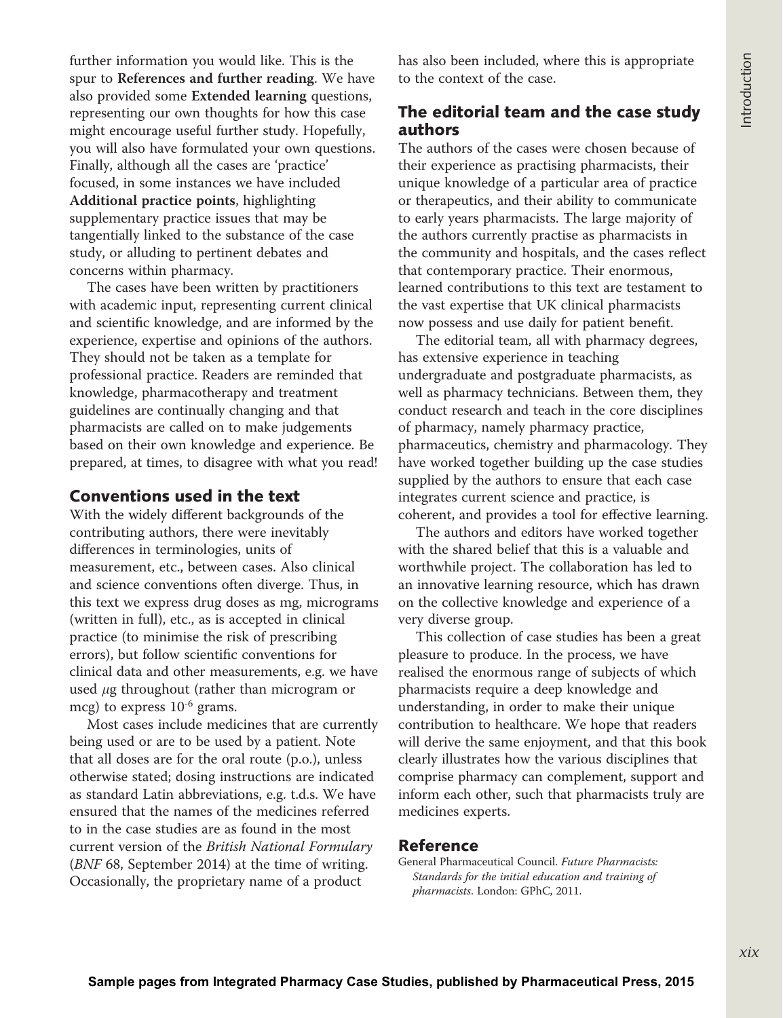further information you would like. This is the spur to References and further reading. We have also provided some Extended learning questions, representing our own thoughts for how this case might encourage useful further study. Hopefully, you will also have formulated your own questions. Finally, although all the cases are 'practice' focused, in some instances we have included Additional practice points, highlighting supplementary practice issues that may be tangentially linked to the substance of the case study, or alluding to pertinent debates and concerns within pharmacy.

The cases have been written by practitioners with academic input, representing current clinical and scienti fi<sup>c</sup> knowledge, and are informed by the experience, expertise and opinions of the authors. They should not be taken as <sup>a</sup> template for professional practice. Readers are reminded that knowledge, pharmacotherapy and treatment guidelines are continually changing and that pharmacists are called on to make judgements based on their own knowledge and experience. Be prepared, at times, to disagree with what you read!

## Conventions used in the text

With the widely di fferent backgrounds of the contributing authors, there were inevitably di fferences in terminologies, units of measurement, etc., between cases. Also clinical and science conventions often diverge. Thus, in this text we express drug doses as mg, micrograms (written in full), etc., as is accepted in clinical practice (to minimise the risk of prescribing errors), but follow scienti fi<sup>c</sup> conventions forclinical data and other measurements, e.g. we have used  $\mu$ g throughout (rather than microgram or mcg) to express  $10^{-6}$  grams.

Most cases include medicines that are currently being used or are to be used by <sup>a</sup> patient. Note that all doses are for the oral route (p.o.), unless otherwise stated; dosing instructions are indicated as standard Latin abbreviations, e.g. t.d.s. We have ensured that the names of the medicines referredto in the case studies are as found in the mostcurrent version of the British National Formulary (BNF 68, September 2014) at the time of writing. Occasionally, the proprietary name of <sup>a</sup> product

has also been included, where this is appropriate to the context of the case.

## The editorial team and the case study authors

The authors of the cases were chosen because oftheir experience as practising pharmacists, their unique knowledge of <sup>a</sup> particular area of practice or therapeutics, and their ability to communicate to early years pharmacists. The large majority of the authors currently practise as pharmacists in the community and hospitals, and the cases re flect that contemporary practice. Their enormous, learned contributions to this text are testament tothe vast expertise that UK clinical pharmacists now possess and use daily for patient bene fit.

The editorial team, all with pharmacy degrees, has extensive experience in teaching undergraduate and postgraduate pharmacists, as well as pharmacy technicians. Between them, they conduct research and teach in the core disciplines of pharmacy, namely pharmacy practice, pharmaceutics, chemistry and pharmacology. They have worked together building up the case studies supplied by the authors to ensure that each case integrates current science and practice, is coherent, and provides <sup>a</sup> tool for <sup>e</sup> ffective learning.

The authors and editors have worked together with the shared belief that this is <sup>a</sup> valuable andworthwhile project. The collaboration has led to an innovative learning resource, which has drawn on the collective knowledge and experience of <sup>a</sup> very diverse group.

This collection of case studies has been <sup>a</sup> grea<sup>t</sup> pleasure to produce. In the process, we have realised the enormous range of subjects of which pharmacists require <sup>a</sup> deep knowledge and understanding, in order to make their unique contribution to healthcare. We hope that readers will derive the same enjoyment, and that this book clearly illustrates how the various disciplines that comprise pharmacy can complement, suppor<sup>t</sup> and inform each other, such that pharmacists truly are medicines experts.

## Reference

General Pharmaceutical Council. Future Pharmacists: Standards for the initial education and training of pharmacists. London: GPhC, 2011.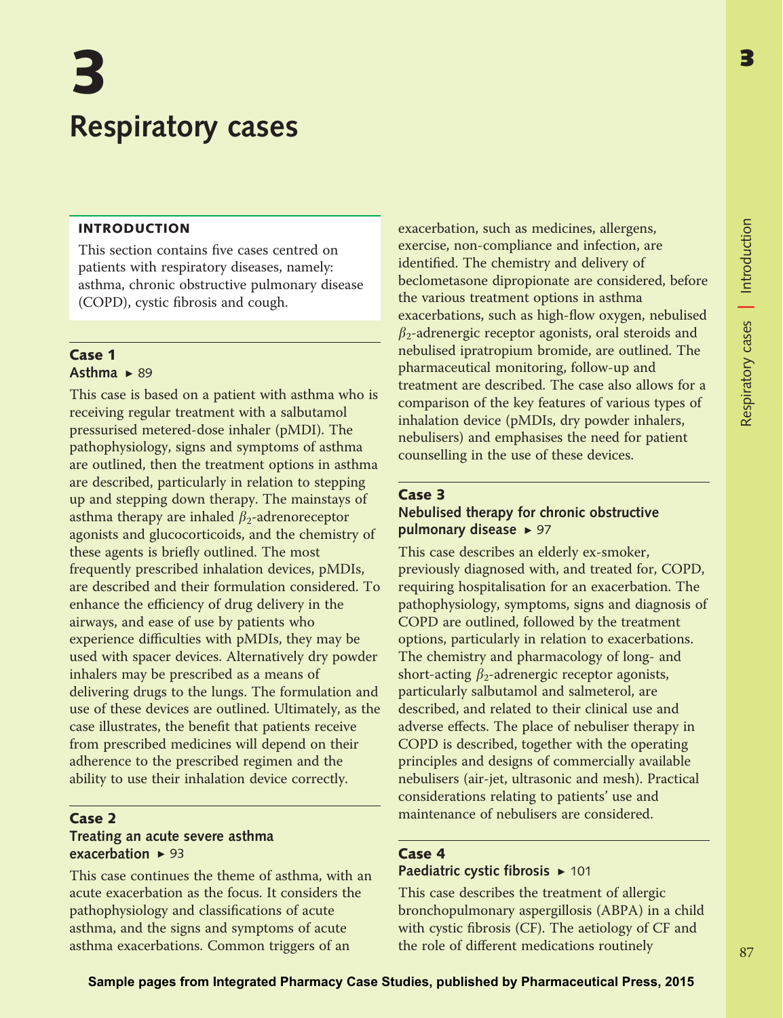## INTRODUCTION

This section contains five cases centred onpatients with respiratory diseases, namely: asthma, chronic obstructive pulmonary disease (COPD), cystic fibrosis and cough.

## Case 1Asthma  $\blacktriangleright$  89

This case is based on <sup>a</sup> patient with asthma who is receiving regular treatment with <sup>a</sup> salbutamol pressurised metered-dose inhaler (pMDI). The pathophysiology, signs and symptoms of asthma are outlined, then the treatment options in asthma are described, particularly in relation to stepping up and stepping down therapy. The mainstays of asthma therapy are inhaled  $\beta_2$ -adrenoreceptor agonists and glucocorticoids, and the chemistry of these agents is briefly outlined. The most frequently prescribed inhalation devices, pMDIs, are described and their formulation considered. Toenhance the <sup>e</sup>fficiency of drug delivery in the airways, and ease of use by patients who experience difficulties with pMDIs, they may be used with spacer devices. Alternatively dry powder inhalers may be prescribed as <sup>a</sup> means of delivering drugs to the lungs. The formulation and use of these devices are outlined. Ultimately, as the case illustrates, the benefi<sup>t</sup> that patients receive from prescribed medicines will depend on their adherence to the prescribed regimen and the ability to use their inhalation device correctly.

## Case 2

## Treating an acute severe asthma exacerbation  $\blacktriangleright$  93

This case continues the theme of asthma, with an acute exacerbation as the focus. It considers thepathophysiology and classifications of acute asthma, and the signs and symptoms of acute asthma exacerbations. Common triggers of an

exacerbation, such as medicines, allergens, exercise, non-compliance and infection, are identified. The chemistry and delivery of beclometasone dipropionate are considered, before the various treatment options in asthma exacerbations, such as high-flow oxygen, nebulised  $\beta_2$ -adrenergic receptor agonists, oral steroids and nebulised ipratropium bromide, are outlined. The pharmaceutical monitoring, follow-up and treatment are described. The case also allows for <sup>a</sup>comparison of the key features of various types of inhalation device (pMDIs, dry powder inhalers, nebulisers) and emphasises the need for patient counselling in the use of these devices.

## Case 3

## Nebulised therapy for chronic obstructive pulmonary disease  $\triangleright$  97

This case describes an elderly ex-smoker, previously diagnosed with, and treated for, COPD, requiring hospitalisation for an exacerbation. The pathophysiology, symptoms, signs and diagnosis of COPD are outlined, followed by the treatment options, particularly in relation to exacerbations. The chemistry and pharmacology of long- and short-acting  $\beta_2$ -adrenergic receptor agonists, particularly salbutamol and salmeterol, are described, and related to their clinical use and adverse <sup>e</sup>ffects. The place of nebuliser therapy in COPD is described, together with the operating principles and designs of commercially available nebulisers (air-jet, ultrasonic and mesh). Practical considerations relating to patients' use and maintenance of nebulisers are considered.

## Case 4Paediatric cystic fibrosis  $\blacktriangleright$  101

This case describes the treatment of allergic bronchopulmonary aspergillosis (ABPA) in <sup>a</sup> child with cystic fibrosis (CF). The aetiology of CF and the role of different medications routinely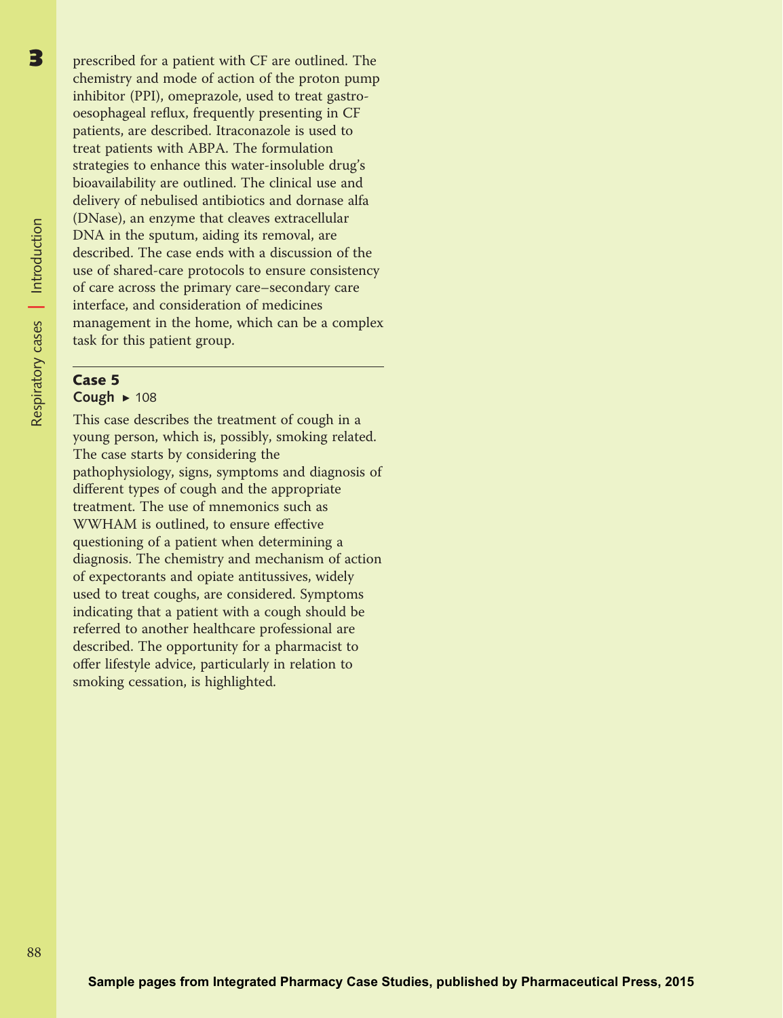prescribed for <sup>a</sup> patient with CF are outlined. The chemistry and mode of action of the proton pump inhibitor (PPI), omeprazole, used to treat gastrooesophageal re flux, frequently presenting in CF patients, are described. Itraconazole is used to treat patients with ABPA. The formulation strategies to enhance this water-insoluble drug'<sup>s</sup> bioavailability are outlined. The clinical use and delivery of nebulised antibiotics and dornase alfa (DNase), an enzyme that cleaves extracellular DNA in the sputum, aiding its removal, are described. The case ends with <sup>a</sup> discussion of theuse of shared-care protocols to ensure consistency of care across the primary care –secondary care interface, and consideration of medicines managemen<sup>t</sup> in the home, which can be <sup>a</sup> complex task for this patient group.

# Case 5

Cough  $\blacktriangleright$  108 This case describes the treatment of cough in <sup>a</sup> young person, which is, possibly, smoking related. The case starts by considering the pathophysiology, signs, symptoms and diagnosis of di fferent types of cough and the appropriate treatment. The use of mnemonics such as WWHAM is outlined, to ensure <sup>e</sup> ffectivequestioning of <sup>a</sup> patient when determining <sup>a</sup> diagnosis. The chemistry and mechanism of action

of expectorants and opiate antitussives, widely used to treat coughs, are considered. Symptoms indicating that <sup>a</sup> patient with <sup>a</sup> cough should be referred to another healthcare professional are described. The opportunity for <sup>a</sup> pharmacist to <sup>o</sup>ffer lifestyle advice, particularly in relation to smoking cessation, is highlighted.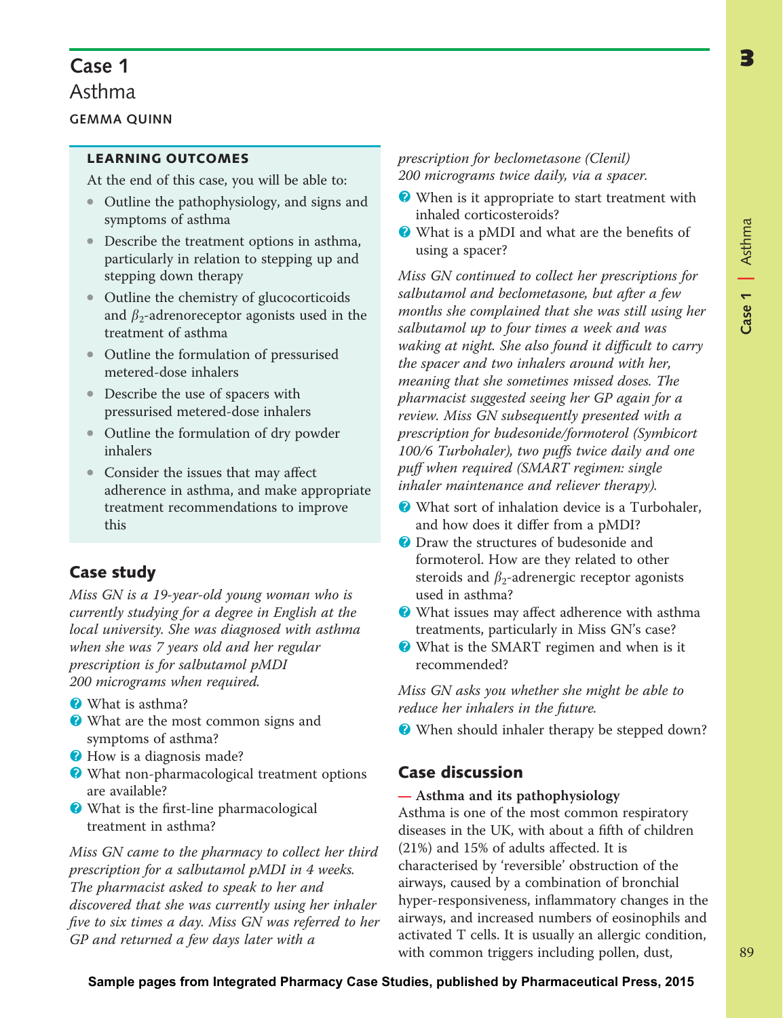# Case 1Asthma

GEMMA QUINN

## LEARNING OUTCOMES

At the end of this case, you will be able to:

- . Outline the pathophysiology, and signs and symptoms of asthma
- . Describe the treatment options in asthma, particularly in relation to stepping up and stepping down therapy
- . Outline the chemistry of glucocorticoids and  $\beta_2$ -adrenoreceptor agonists used in the treatment of asthma
- . Outline the formulation of pressurised metered-dose inhalers
- . Describe the use of spacers with pressurised metered-dose inhalers
- . Outline the formulation of dry powder inhalers
- . Consider the issues that may <sup>a</sup> ffect adherence in asthma, and make appropriate treatment recommendations to improve this

## Case study

Miss GN is <sup>a</sup> 19-year-old young woman who is currently studying for <sup>a</sup> degree in English at the local university. She was diagnosed with asthma when she was <sup>7</sup> years old and her regular prescription is for salbutamol pMDI 200 micrograms when required.

- .? What is asthma?
- **.** What are the most common signs and symptoms of asthma?
- **•** How is a diagnosis made?
- .? What non-pharmacological treatment options are available?
- **2** What is the first-line pharmacological treatment in asthma?

Miss GN came to the pharmacy to collect her third prescription for <sup>a</sup> salbutamol pMDI in <sup>4</sup> weeks. The pharmacist asked to speak to her and discovered that she was currently using her inhaler five to six times <sup>a</sup> day. Miss GN was referred to her GP and returned <sup>a</sup> few days later with <sup>a</sup>

## prescription for beclometasone (Clenil) 200 micrograms twice daily, via <sup>a</sup> spacer.

- .? When is it appropriate to start treatment with inhaled corticosteroids?
- **O** What is a pMDI and what are the benefits of using <sup>a</sup> spacer?

Miss GN continued to collect her prescriptions for salbutamol and beclometasone, but after <sup>a</sup> few months she complained that she was still using her salbutamol up to four times <sup>a</sup> week and was waking at night. She also found it difficult to carry the spacer and two inhalers around with her, meaning that she sometimes missed doses. The pharmacist suggested seeing her GP again for <sup>a</sup> review. Miss GN subsequently presented with <sup>a</sup> prescription for budesonide/formoterol (Symbicort 100/6 Turbohaler), two puff<sup>s</sup> twice daily and one puff when required (SMART regimen: single inhaler maintenance and reliever therapy).

- .? What sort of inhalation device is <sup>a</sup> Turbohaler, and how does it di ffer from <sup>a</sup> pMDI?
- **2** Draw the structures of budesonide and formoterol. How are they related to other steroids and  $\beta_2$ -adrenergic receptor agonists used in asthma?
- **O** What issues may affect adherence with asthma treatments, particularly in Miss GN'<sup>s</sup> case?
- .? What is the SMART regimen and when is it recommended?

Miss GN asks you whether she might be able to reduce her inhalers in the future.

.? When should inhaler therapy be stepped down?

## Case discussion

## — Asthma and its pathophysiology

Asthma is one of the most common respiratory diseases in the UK, with about <sup>a</sup> fifth of children (21%) and 15% of adults <sup>a</sup> ffected. It ischaracterised by 'reversible' obstruction of the airways, caused by <sup>a</sup> combination of bronchial hyper-responsiveness, in flammatory changes in the airways, and increased numbers of eosinophils and activated T cells. It is usually an allergic condition, with common triggers including pollen, dust,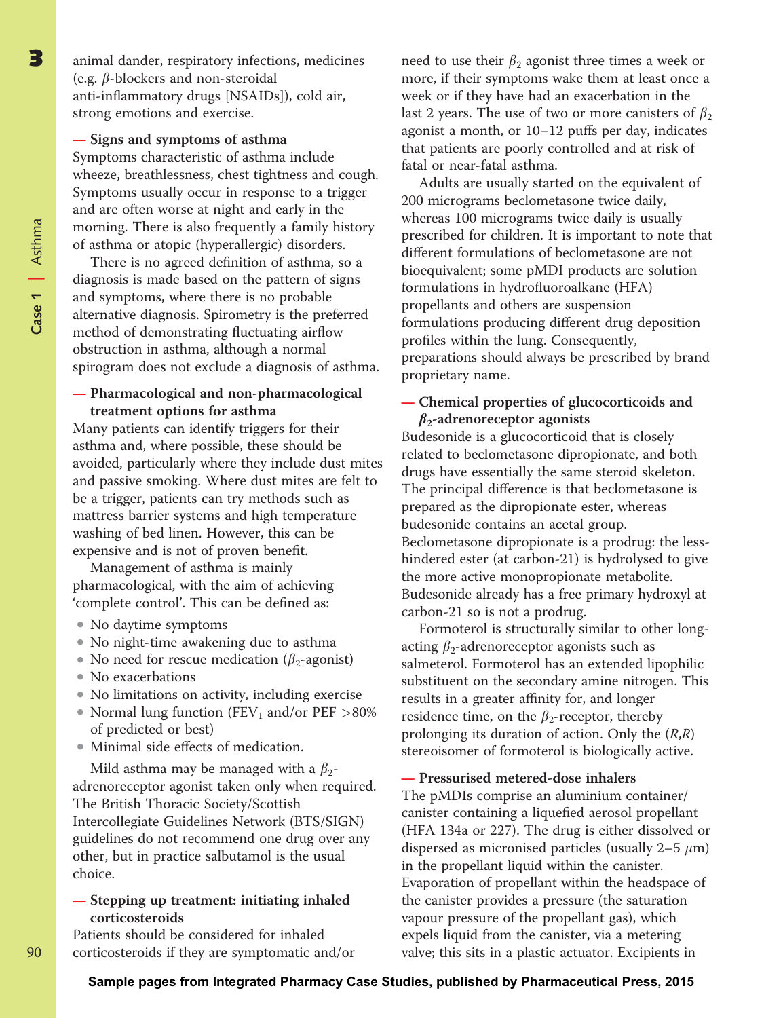animal dander, respiratory infections, medicines (e.g. b-blockers and non-steroidal anti-in flammatory drugs [NSAIDs]), cold air, strong emotions and exercise.

#### — Signs and symptoms of asthma

Symptoms characteristic of asthma include wheeze, breathlessness, chest tightness and cough. Symptoms usually occur in response to <sup>a</sup> trigger and are often worse at night and early in the morning. There is also frequently <sup>a</sup> family history of asthma or atopic (hyperallergic) disorders.

There is no agreed de finition of asthma, so <sup>a</sup> diagnosis is made based on the pattern of signs and symptoms, where there is no probable alternative diagnosis. Spirometry is the preferred method of demonstrating fluctuating air flow obstruction in asthma, although <sup>a</sup> normal spirogram does not exclude <sup>a</sup> diagnosis of asthma.

## — Pharmacological and non-pharmacological treatment options for asthma

Many patients can identify triggers for their asthma and, where possible, these should be avoided, particularly where they include dust mites and passive smoking. Where dust mites are felt to be <sup>a</sup> trigger, patients can try methods such as mattress barrier systems and high temperature washing of bed linen. However, this can be expensive and is not of proven bene fit.

Management of asthma is mainly pharmacological, with the aim of achieving 'complete control'. This can be de fined as:

- . No daytime symptoms
- . No night-time awakening due to asthma
- No need for rescue medication ( $\beta_2$ -agonist)
- . No exacerbations
- . No limitations on activity, including exercise
- Normal lung function ( $FEV_1$  and/or  $PEF > 80\%$ of predicted or best)
- . Minimal side <sup>e</sup> ffects of medication.

Mild asthma may be managed with a  $\beta_2$ adrenoreceptor agonist taken only when required. The British Thoracic Society/Scottish Intercollegiate Guidelines Network (BTS/SIGN) guidelines do not recommend one drug over any other, but in practice salbutamol is the usual choice.

## — Stepping up treatment: initiating inhaled corticosteroids

Patients should be considered for inhaled corticosteroids if they are symptomatic and/or

need to use their  $\beta_2$  agonist three times a week or more, if their symptoms wake them at least once <sup>a</sup> week or if they have had an exacerbation in the last 2 years. The use of two or more canisters of  $\beta_2$ agonist <sup>a</sup> month, or <sup>10</sup> –12 pu ff<sup>s</sup> per day, indicates that patients are poorly controlled and at risk of fatal or near-fatal asthma.

Adults are usually started on the equivalent of <sup>200</sup> micrograms beclometasone twice daily, whereas <sup>100</sup> micrograms twice daily is usually prescribed for children. It is important to note that different formulations of beclometasone are notbioequivalent; some pMDI products are solution formulations in hydro fluoroalkane (HFA) propellants and others are suspension formulations producing di fferent drug deposition pro files within the lung. Consequently, preparations should always be prescribed by brand proprietary name.

## — Chemical properties of glucocorticoids and  $\beta_2$ -adrenoreceptor agonists

Budesonide is <sup>a</sup> glucocorticoid that is closely related to beclometasone dipropionate, and both drugs have essentially the same steroid skeleton. The principal di fference is that beclometasone is prepared as the dipropionate ester, whereas budesonide contains an acetal group. Beclometasone dipropionate is <sup>a</sup> prodrug: the lesshindered ester (at carbon-21) is hydrolysed to give the more active monopropionate metabolite. Budesonide already has <sup>a</sup> free primary hydroxyl at carbon-21 so is not <sup>a</sup> prodrug.

Formoterol is structurally similar to other longacting  $\beta_2$ -adrenoreceptor agonists such as salmeterol. Formoterol has an extended lipophilic substituent on the secondary amine nitrogen. This results in <sup>a</sup> greater <sup>a</sup> ffinity for, and longer residence time, on the  $\beta_2$ -receptor, thereby prolonging its duration of action. Only the  $(R,\!R)$ stereoisomer of formoterol is biologically active.

— Pressurised metered-dose inhalers

The pMDIs comprise an aluminium container/ canister containing <sup>a</sup> lique fied aerosol propellant (HFA 134a or 227). The drug is either dissolved or dispersed as micronised particles (usually 2–5  $\mu$ m) in the propellant liquid within the canister. Evaporation of propellant within the headspace of the canister provides <sup>a</sup> pressure (the saturation vapour pressure of the propellant gas), which expels liquid from the canister, via <sup>a</sup> metering valve; this sits in <sup>a</sup> plastic actuator. Excipients in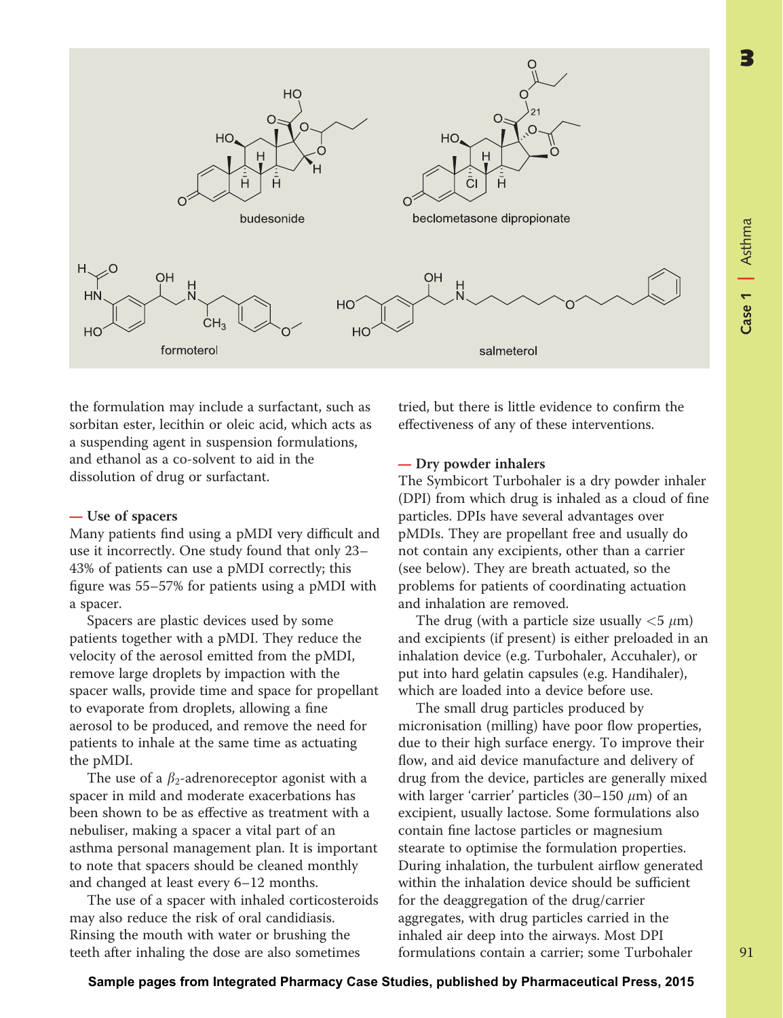3



the formulation may include <sup>a</sup> surfactant, such as sorbitan ester, lecithin or oleic acid, which acts as <sup>a</sup> suspending agen<sup>t</sup> in suspension formulations, and ethanol as <sup>a</sup> co-solvent to aid in thedissolution of drug or surfactant.

#### — Use of spacers

Many patients find using <sup>a</sup> pMDI very difficult and use it incorrectly. One study found that only <sup>23</sup>– 43% of patients can use <sup>a</sup> pMDI correctly; this figure was 55–57% for patients using <sup>a</sup> pMDI with <sup>a</sup> spacer.

Spacers are plastic devices used by some patients together with <sup>a</sup> pMDI. They reduce the velocity of the aerosol emitted from the pMDI, remove large droplets by impaction with the spacer walls, provide time and space for propellant to evaporate from droplets, allowing <sup>a</sup> fine aerosol to be produced, and remove the need for patients to inhale at the same time as actuating the pMDI.

The use of a  $\beta_2$ -adrenoreceptor agonist with a spacer in mild and moderate exacerbations has been shown to be as <sup>e</sup>ffective as treatment with <sup>a</sup>nebuliser, making <sup>a</sup> spacer <sup>a</sup> vital par<sup>t</sup> of an asthma personal managemen<sup>t</sup> plan. It is important to note that spacers should be cleaned monthly and changed at least every 6–<sup>12</sup> months.

The use of <sup>a</sup> spacer with inhaled corticosteroids may also reduce the risk of oral candidiasis. Rinsing the mouth with water or brushing the teeth after inhaling the dose are also sometimes

tried, but there is little evidence to confirm the <sup>e</sup>ffectiveness of any of these interventions.

#### — Dry powder inhalers

The Symbicort Turbohaler is <sup>a</sup> dry powder inhaler (DPI) from which drug is inhaled as <sup>a</sup> cloud of fine particles. DPIs have several advantages over pMDIs. They are propellant free and usually do not contain any excipients, other than <sup>a</sup> carrier (see below). They are breath actuated, so the problems for patients of coordinating actuation and inhalation are removed.

The drug (with a particle size usually  $\lt 5 \mu m$ ) and excipients (if present) is either preloaded in an inhalation device (e.g. Turbohaler, Accuhaler), or pu<sup>t</sup> into hard gelatin capsules (e.g. Handihaler), which are loaded into <sup>a</sup> device before use.

The small drug particles produced by micronisation (milling) have poor flow properties, due to their high surface energy. To improve their flow, and aid device manufacture and delivery of drug from the device, particles are generally mixed with larger 'carrier' particles (30–150  $\mu$ m) of an excipient, usually lactose. Some formulations also contain fine lactose particles or magnesium stearate to optimise the formulation properties. During inhalation, the turbulent airflow generated within the inhalation device should be sufficient for the deaggregation of the drug/carrier aggregates, with drug particles carried in the inhaled air deep into the airways. Most DPI formulations contain <sup>a</sup> carrier; some Turbohaler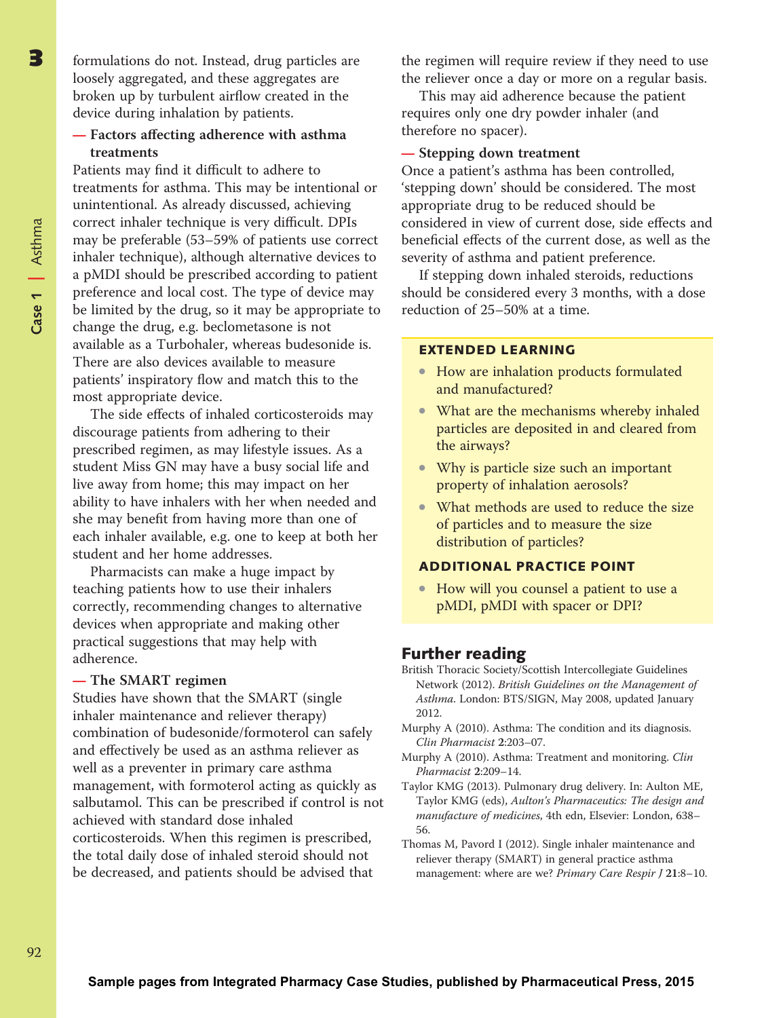Е.

formulations do not. Instead, drug particles are loosely aggregated, and these aggregates are broken up by turbulent air flow created in the device during inhalation by patients.

## — Factors <sup>a</sup> ffecting adherence with asthma treatments

Patients may find it di fficult to adhere to treatments for asthma. This may be intentional or unintentional. As already discussed, achieving correct inhaler technique is very di fficult. DPIs may be preferable (53 –59% of patients use correct inhaler technique), although alternative devices to <sup>a</sup> pMDI should be prescribed according to patient preference and local cost. The type of device may be limited by the drug, so it may be appropriate to change the drug, e.g. beclometasone is not available as <sup>a</sup> Turbohaler, whereas budesonide is. There are also devices available to measurepatients' inspiratory flow and match this to the most appropriate device.

The side <sup>e</sup> ffects of inhaled corticosteroids may discourage patients from adhering to their prescribed regimen, as may lifestyle issues. As <sup>a</sup> student Miss GN may have <sup>a</sup> busy social life and live away from home; this may impact on her ability to have inhalers with her when needed and she may bene fi<sup>t</sup> from having more than one of each inhaler available, e.g. one to keep at both her student and her home addresses.

Pharmacists can make <sup>a</sup> huge impact by teaching patients how to use their inhalers correctly, recommending changes to alternative devices when appropriate and making other practical suggestions that may help with adherence.

## — The SMART regimen

Studies have shown that the SMART (single inhaler maintenance and reliever therapy) combination of budesonide/formoterol can safely and <sup>e</sup> ffectively be used as an asthma reliever as well as <sup>a</sup> preventer in primary care asthma management, with formoterol acting as quickly as salbutamol. This can be prescribed if control is not achieved with standard dose inhaledcorticosteroids. When this regimen is prescribed, the total daily dose of inhaled steroid should not be decreased, and patients should be advised that

the regimen will require review if they need to use the reliever once <sup>a</sup> day or more on <sup>a</sup> regular basis.

This may aid adherence because the patient requires only one dry powder inhaler (and therefore no spacer).

#### — Stepping down treatment

Once <sup>a</sup> patient'<sup>s</sup> asthma has been controlled, 'stepping down' should be considered. The most appropriate drug to be reduced should be considered in view of current dose, side <sup>e</sup> ffects andbeneficial <sup>e</sup>ffects of the current dose, as well as the severity of asthma and patient preference.

If stepping down inhaled steroids, reductions should be considered every <sup>3</sup> months, with <sup>a</sup> dose reduction of 25 –50% at <sup>a</sup> time.

## EXTENDED LEARNING

- . How are inhalation products formulated and manufactured?
- . What are the mechanisms whereby inhaled particles are deposited in and cleared from the airways?
- . Why is particle size such an important property of inhalation aerosols?
- . What methods are used to reduce the size of particles and to measure the size distribution of particles?

## ADDITIONAL PRACTICE POINT

. How will you counsel <sup>a</sup> patient to use <sup>a</sup> pMDI, pMDI with spacer or DPI?

## Further reading

- British Thoracic Society/Scottish Intercollegiate Guidelines Network (2012). British Guidelines on the Management of Asthma. London: BTS/SIGN, May 2008, updated January 2012.
- Murphy A (2010). Asthma: The condition and its diagnosis. Clin Pharmacist 2:203–07.
- Murphy A (2010). Asthma: Treatment and monitoring. Clin Pharmacist 2:209–14.
- Taylor KMG (2013). Pulmonary drug delivery. In: Aulton ME, Taylor KMG (eds), Aulton'<sup>s</sup> Pharmaceutics: The design and manufacture of medicines, 4th edn, Elsevier: London, 638– 56.
- Thomas M, Pavord <sup>I</sup> (2012). Single inhaler maintenance and reliever therapy (SMART) in general practice asthma management: where are we? Primary Care Respir J <sup>21</sup>:8–10.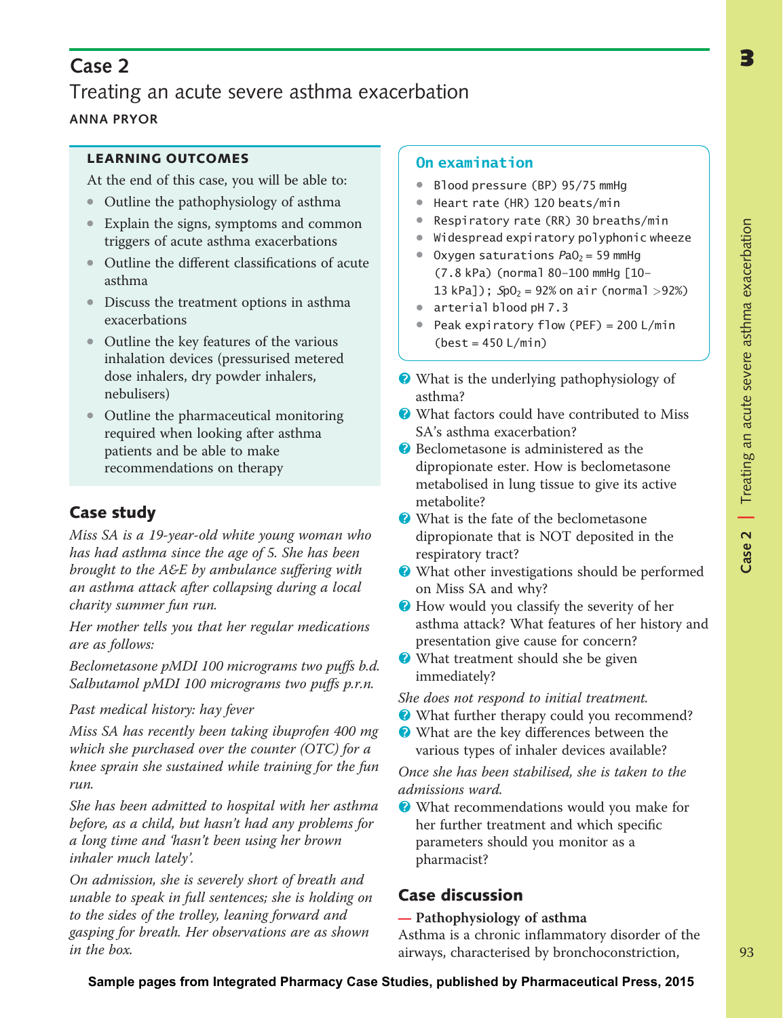# Case 2

# Treating an acute severe asthma exacerbation

## ANNA PRYOR

## LEARNING OUTCOMES

At the end of this case, you will be able to:

- . Outline the pathophysiology of asthma
- . Explain the signs, symptoms and common triggers of acute asthma exacerbations
- . Outline the different classifications of acuteasthma
- . Discuss the treatment options in asthma exacerbations
- . Outline the key features of the various inhalation devices (pressurised metered dose inhalers, dry powder inhalers, nebulisers)
- . Outline the pharmaceutical monitoring required when looking after asthma patients and be able to make recommendations on therapy

## Case study

Miss SA is <sup>a</sup> 19-year-old white young woman who has had asthma since the age of 5. She has been brought to the A&E by ambulance suffering with an asthma attack after collapsing during <sup>a</sup> local charity summer fun run.

Her mother tells you that her regular medications are as follows:

Beclometasone pMDI 100 micrograms two puff<sup>s</sup> b.d. Salbutamol pMDI 100 micrograms two puff<sup>s</sup> p.r.n.

## Past medical history: hay fever

Miss SA has recently been taking ibuprofen 400 mg which she purchased over the counter (OTC) for a knee sprain she sustained while training for the fun run.

She has been admitted to hospital with her asthma before, as <sup>a</sup> child, but hasn'<sup>t</sup> had any problems for <sup>a</sup> long time and 'hasn'<sup>t</sup> been using her brown inhaler much lately'.

On admission, she is severely short of breath and unable to speak in full sentences; she is holding on to the sides of the trolley, leaning forward and gasping for breath. Her observations are as shown in the box.

## On examination

- .Blood pressure (BP) 95/75 mmHg
- .Heart rate (HR) 120 beats/min
- .Respiratory rate (RR) 30 breaths/min
- .Widespread expiratory polyphonic wheeze
- . $\bullet$  Oxygen saturations PaO<sub>2</sub> = 59 mmHg (7.8 kPa) (normal 80–100 mmHg [10– 13 kPa]); *S*pO<sub>2</sub> = 92% on air (normal >92%)
- .arterial blood pH 7.3
- .Peak expiratory  $flow (PEF) = 200 L/min$ (best <sup>=</sup> 450 L/min)
- .? What is the underlying pathophysiology of asthma?
- .? What factors could have contributed to MissSA'<sup>s</sup> asthma exacerbation?
- **2** Beclometasone is administered as the dipropionate ester. How is beclometasone metabolised in lung tissue to give its active metabolite?
- .? What is the fate of the beclometasonedipropionate that is NOT deposited in the respiratory tract?
- .? What other investigations should be performed on Miss SA and why?
- .? How would you classify the severity of her asthma attack? What features of her history and presentation give cause for concern?
- **2** What treatment should she be given immediately?

She does not respond to initial treatment.

- .? What further therapy could you recommend?
- **2** What are the key differences between the various types of inhaler devices available?

Once she has been stabilised, she is taken to the admissions ward.

.? What recommendations would you make for her further treatment and which speci fic parameters should you monitor as <sup>a</sup> pharmacist?

## Case discussion

## — Pathophysiology of asthma

Asthma is <sup>a</sup> chronic in flammatory disorder of the airways, characterised by bronchoconstriction,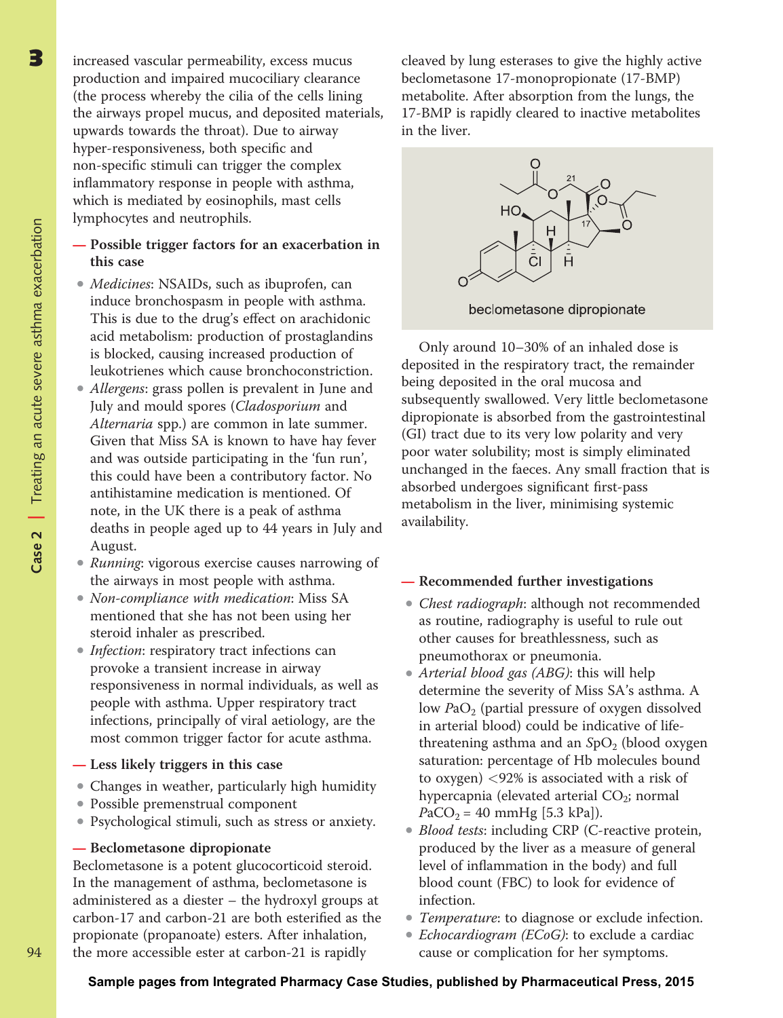increased vascular permeability, excess mucus production and impaired mucociliary clearance (the process whereby the cilia of the cells lining the airways propel mucus, and deposited materials, upwards towards the throat). Due to airway hyper-responsiveness, both spec<sup>i</sup> fi<sup>c</sup> and non-speci fi<sup>c</sup> stimuli can trigger the complex in flammatory response in people with asthma, which is mediated by eosinophils, mast cells lymphocytes and neutrophils.

## — Possible trigger factors for an exacerbation in this case

- *Medicines*: NSAIDs, such as ibuprofen, can induce bronchospasm in people with asthma. This is due to the drug'<sup>s</sup> <sup>e</sup> ffect on arachidonic acid metabolism: production of prostaglandins is blocked, causing increased production of leukotrienes which cause bronchoconstriction.
- *Allergens*: grass pollen is prevalent in June and July and mould spores (Cladosporium and Alternaria spp.) are common in late summer. Given that Miss SA is known to have hay fever and was outside participating in the 'fun run', this could have been <sup>a</sup> contributory factor. No antihistamine medication is mentioned. Ofnote, in the UK there is <sup>a</sup> peak of asthma deaths in people aged up to <sup>44</sup> years in July and August.
- Running: vigorous exercise causes narrowing of the airways in most people with asthma.
- Non-compliance with medication: Miss SA mentioned that she has not been using her steroid inhaler as prescribed.
- *Infection*: respiratory tract infections can provoke <sup>a</sup> transient increase in airway responsiveness in normal individuals, as well as people with asthma. Upper respiratory tract infections, principally of viral aetiology, are the most common trigger factor for acute asthma.
- Less likely triggers in this case
- . Changes in weather, particularly high humidity
- . Possible premenstrual componen<sup>t</sup>
- . Psychological stimuli, such as stress or anxiety.
- Beclometasone dipropionate

Beclometasone is <sup>a</sup> potent glucocorticoid steroid. In the managemen<sup>t</sup> of asthma, beclometasone is administered as <sup>a</sup> diester – the hydroxyl groups at carbon-17 and carbon-21 are both esterified as thepropionate (propanoate) esters. After inhalation, the more accessible ester at carbon-21 is rapidly

cleaved by lung esterases to give the highly active beclometasone 17-monopropionate (17-BMP) metabolite. After absorption from the lungs, the 17-BMP is rapidly cleared to inactive metabolites in the liver.



beclometasone dipropionate

Only around <sup>10</sup> –30% of an inhaled dose is deposited in the respiratory tract, the remainder being deposited in the oral mucosa and subsequently swallowed. Very little beclometasone dipropionate is absorbed from the gastrointestinal (GI) tract due to its very low polarity and very poor water solubility; most is simply eliminated unchanged in the faeces. Any small fraction that is absorbed undergoes signi ficant first-pass metabolism in the liver, minimising systemic availability.

#### — Recommended further investigations

- *Chest radiograph*: although not recommended as routine, radiography is useful to rule out other causes for breathlessness, such as pneumothorax or pneumonia.
- Arterial blood gas (ABG): this will help determine the severity of Miss SA'<sup>s</sup> asthma. A low Pa $\mathrm{O}_2$  (partial pressure of oxygen dissolved in arterial blood) could be indicative of lifethreatening asthma and an SpO<sub>2</sub> (blood oxygen saturation: percentage of Hb molecules bound to oxygen) <92% is associated with <sup>a</sup> risk of hypercapnia (elevated arterial CO<sub>2</sub>; normal  $PaCO<sub>2</sub> = 40$  mmHg [5.3 kPa]).
- Blood tests: including CRP (C-reactive protein, produced by the liver as <sup>a</sup> measure of general level of in flammation in the body) and full blood count (FBC) to look for evidence of infection.
- Temperature: to diagnose or exclude infection.
- $\bullet$  *Echocardiogram (ECoG)*: to exclude a cardiac cause or complication for her symptoms.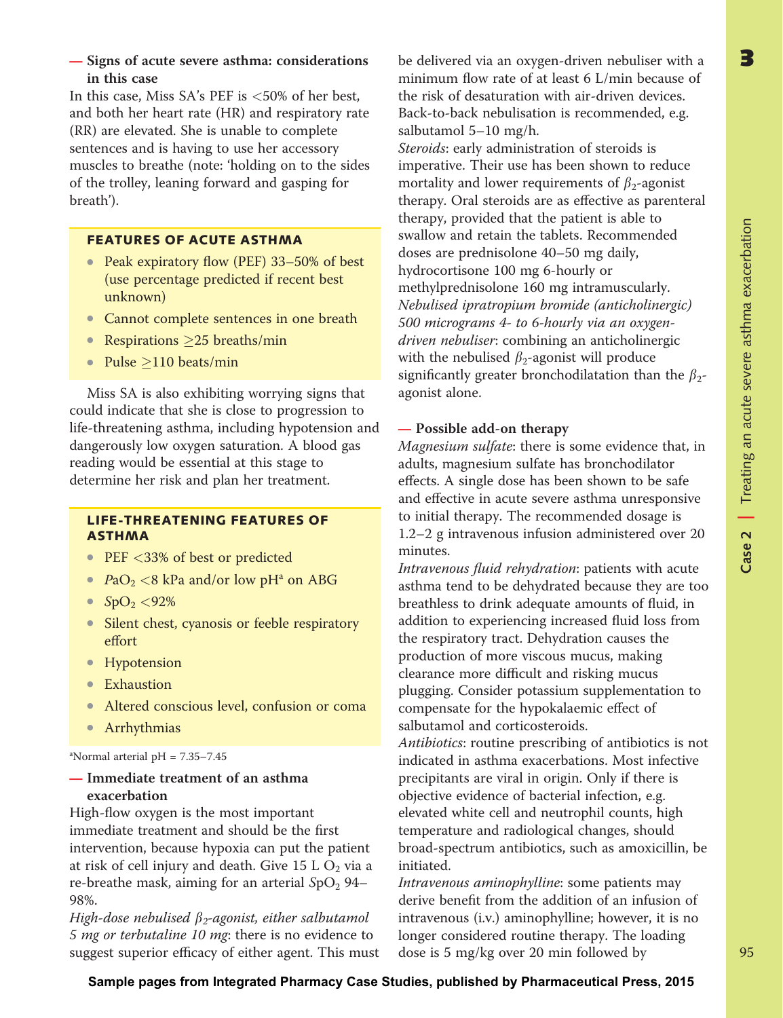3

## — Signs of acute severe asthma: considerations in this case

In this case, Miss SA'<sup>s</sup> PEF is <sup>&</sup>lt;50% of her best, and both her heart rate (HR) and respiratory rate (RR) are elevated. She is unable to complete sentences and is having to use her accessory muscles to breathe (note: 'holding on to the sides of the trolley, leaning forward and gasping for breath').

## FEATURES OF ACUTE ASTHMA

- Peak expiratory flow (PEF) 33–50% of best (use percentage predicted if recent best unknown)
- . Cannot complete sentences in one breath
- Respirations  $\geq$  25 breaths/min
- Pulse  $\geq$ 110 beats/min

Miss SA is also exhibiting worrying signs that could indicate that she is close to progression to life-threatening asthma, including hypotension and dangerously low oxygen saturation. A blood gas reading would be essential at this stage to determine her risk and plan her treatment.

#### LIFE-THREATENING FEATURES OF **ASTHMA**

- . PEF <sup>&</sup>lt;33% of best or predicted
- $\bullet$  PaO $_2$   $<$ 8 kPa and/or low pH $^{\rm a}$  on ABG
- $SpO_2$  <92%
- . Silent chest, cyanosis or feeble respiratory effort
- . Hypotension
- . Exhaustion
- . Altered conscious level, confusion or coma
- . Arrhythmias

<sup>a</sup>Normal arterial pH =  $7.35-7.45$ 

## — Immediate treatment of an asthma exacerbation

High-flow oxygen is the most important immediate treatment and should be the first intervention, because hypoxia can pu<sup>t</sup> the patient at risk of cell injury and death. Give  $15 L O<sub>2</sub>$  via a re-breathe mask, aiming for an arterial SpO $_2$  94– 98%.

High-dose nebulised  $\beta_2$ -agonist, either salbutamol 5 mg or terbutaline 10 mg: there is no evidence to sugges<sup>t</sup> superior <sup>e</sup> fficacy of either agent. This must be delivered via an oxygen-driven nebuliser with <sup>a</sup> minimum flow rate of at least 6 L/min because of the risk of desaturation with air-driven devices.Back-to-back nebulisation is recommended, e.g. salbutamol 5 –<sup>10</sup> mg/h.

Steroids: early administration of steroids is imperative. Their use has been shown to reduce mortality and lower requirements of  $\beta_2$ -agonist therapy. Oral steroids are as <sup>e</sup> ffective as parenteral therapy, provided that the patient is able to swallow and retain the tablets. Recommendeddoses are prednisolone 40 –50 mg daily, hydrocortisone <sup>100</sup> mg 6-hourly or methylprednisolone 160 mg intramuscularly. Nebulised ipratropium bromide (anticholinergic) 500 micrograms 4- to 6-hourly via an oxygendriven nebuliser: combining an anticholinergic with the nebulised  $\beta_2$ -agonist will produce significantly greater bronchodilatation than the  $\beta_2$ agonist alone.

#### — Possible add-on therapy

Magnesium sulfate: there is some evidence that, in adults, magnesium sulfate has bronchodilator <sup>e</sup>ffects. A single dose has been shown to be safe and <sup>e</sup> ffective in acute severe asthma unresponsive to initial therapy. The recommended dosage is 1.2 –<sup>2</sup> g intravenous infusion administered over <sup>20</sup> minutes.

Intravenous fluid rehydration: patients with acute asthma tend to be dehydrated because they are too breathless to drink adequate amounts of fluid, in addition to experiencing increased fluid loss from the respiratory tract. Dehydration causes the production of more viscous mucus, making clearance more di fficult and risking mucus plugging. Consider potassium supplementation to compensate for the hypokalaemic <sup>e</sup> ffect of salbutamol and corticosteroids.

Antibiotics: routine prescribing of antibiotics is not indicated in asthma exacerbations. Most infectiveprecipitants are viral in origin. Only if there is objective evidence of bacterial infection, e.g. elevated white cell and neutrophil counts, high temperature and radiological changes, should broad-spectrum antibiotics, such as amoxicillin, be initiated.

Intravenous aminophylline: some patients may derive benefit from the addition of an infusion ofintravenous (i.v.) aminophylline; however, it is no longer considered routine therapy. The loading dose is 5 mg/kg over <sup>20</sup> min followed by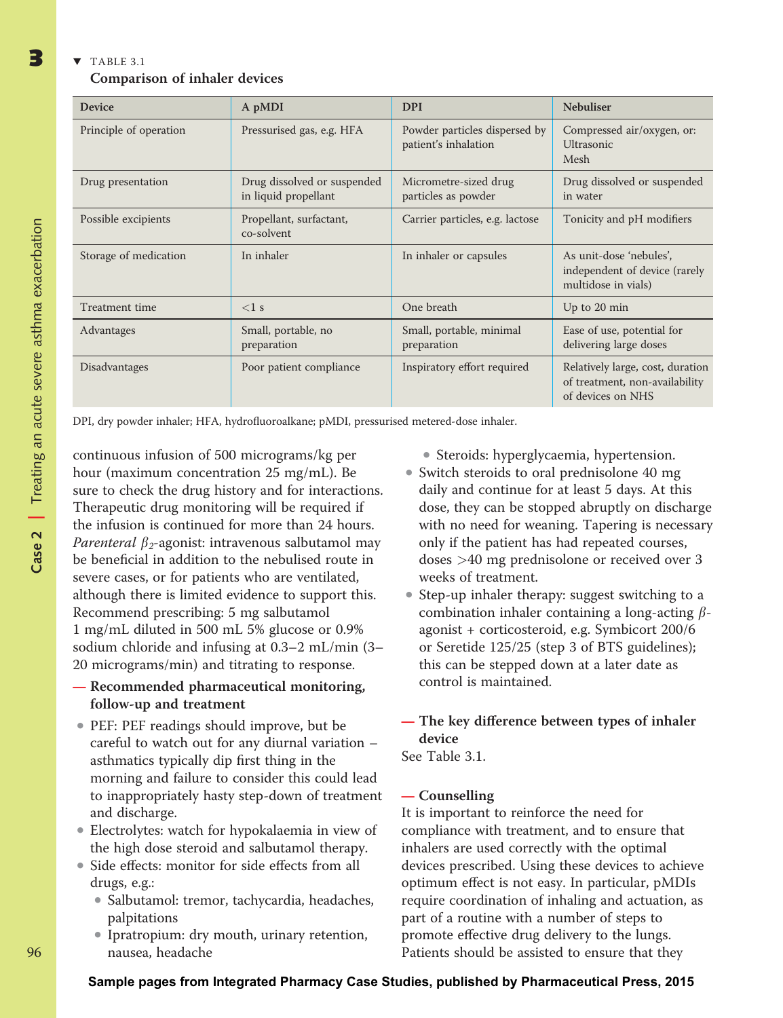$\blacktriangledown$ 

## TABLE 3.1Comparison of inhaler devices

| <b>Device</b>          | A pMDI                                              | <b>DPI</b>                                            | <b>Nebuliser</b>                                                                        |
|------------------------|-----------------------------------------------------|-------------------------------------------------------|-----------------------------------------------------------------------------------------|
| Principle of operation | Pressurised gas, e.g. HFA                           | Powder particles dispersed by<br>patient's inhalation | Compressed air/oxygen, or:<br>Ultrasonic<br>Mesh                                        |
| Drug presentation      | Drug dissolved or suspended<br>in liquid propellant | Micrometre-sized drug<br>particles as powder          | Drug dissolved or suspended<br>in water                                                 |
| Possible excipients    | Propellant, surfactant,<br>co-solvent               | Carrier particles, e.g. lactose                       | Tonicity and pH modifiers                                                               |
| Storage of medication  | In inhaler                                          | In inhaler or capsules                                | As unit-dose 'nebules',<br>independent of device (rarely<br>multidose in vials)         |
| Treatment time         | $<$ 1 s                                             | One breath                                            | Up to 20 min                                                                            |
| Advantages             | Small, portable, no<br>preparation                  | Small, portable, minimal<br>preparation               | Ease of use, potential for<br>delivering large doses                                    |
| Disadvantages          | Poor patient compliance                             | Inspiratory effort required                           | Relatively large, cost, duration<br>of treatment, non-availability<br>of devices on NHS |

DPI, dry powder inhaler; HFA, hydrofluoroalkane; pMDI, pressurised metered-dose inhaler.

continuous infusion of 500 micrograms/kg per hour (maximum concentration <sup>25</sup> mg/mL). Be sure to check the drug history and for interactions. Therapeutic drug monitoring will be required if the infusion is continued for more than 24 hours. *Parenteral*  $\beta_2$ -agonist: intravenous salbutamol may be beneficial in addition to the nebulised route insevere cases, or for patients who are ventilated, although there is limited evidence to suppor<sup>t</sup> this. Recommend prescribing: 5 mg salbutamol <sup>1</sup> mg/mL diluted in 500 mL 5% glucose or 0.9% sodium chloride and infusing at 0.3 –2 mL/min (3 – <sup>20</sup> micrograms/min) and titrating to response.

- Recommended pharmaceutical monitoring, follow-up and treatment
- . PEF: PEF readings should improve, but be careful to watch out for any diurnal variation – asthmatics typically dip first thing in the morning and failure to consider this could lead to inappropriately hasty step-down of treatment and discharge.
- . Electrolytes: watch for hypokalaemia in view of the high dose steroid and salbutamol therapy.
- . Side <sup>e</sup>ffects: monitor for side <sup>e</sup>ffects from alldrugs, e.g.:
	- . Salbutamol: tremor, tachycardia, headaches, palpitations
	- . Ipratropium: dry mouth, urinary retention, nausea, headache
- . Steroids: hyperglycaemia, hypertension.
- . Switch steroids to oral prednisolone <sup>40</sup> mg daily and continue for at least 5 days. At this dose, they can be stopped abruptly on discharge with no need for weaning. Tapering is necessary only if the patient has had repeated courses, doses <sup>&</sup>gt;<sup>40</sup> mg prednisolone or received over <sup>3</sup> weeks of treatment.
- . Step-up inhaler therapy: sugges<sup>t</sup> switching to <sup>a</sup> combination inhaler containing a long-acting  $\beta$ agonist <sup>+</sup> corticosteroid, e.g. Symbicort 200/6 or Seretide 125/25 (step <sup>3</sup> of BTS guidelines); this can be stepped down at <sup>a</sup> later date as control is maintained.

## — The key di fference between types of inhaler device

See Table 3.1.

## — Counselling

It is important to reinforce the need for compliance with treatment, and to ensure that inhalers are used correctly with the optimal devices prescribed. Using these devices to achieve optimum <sup>e</sup> ffect is not easy. In particular, pMDIs require coordination of inhaling and actuation, as par<sup>t</sup> of <sup>a</sup> routine with <sup>a</sup> number of steps to promote <sup>e</sup> ffective drug delivery to the lungs. Patients should be assisted to ensure that they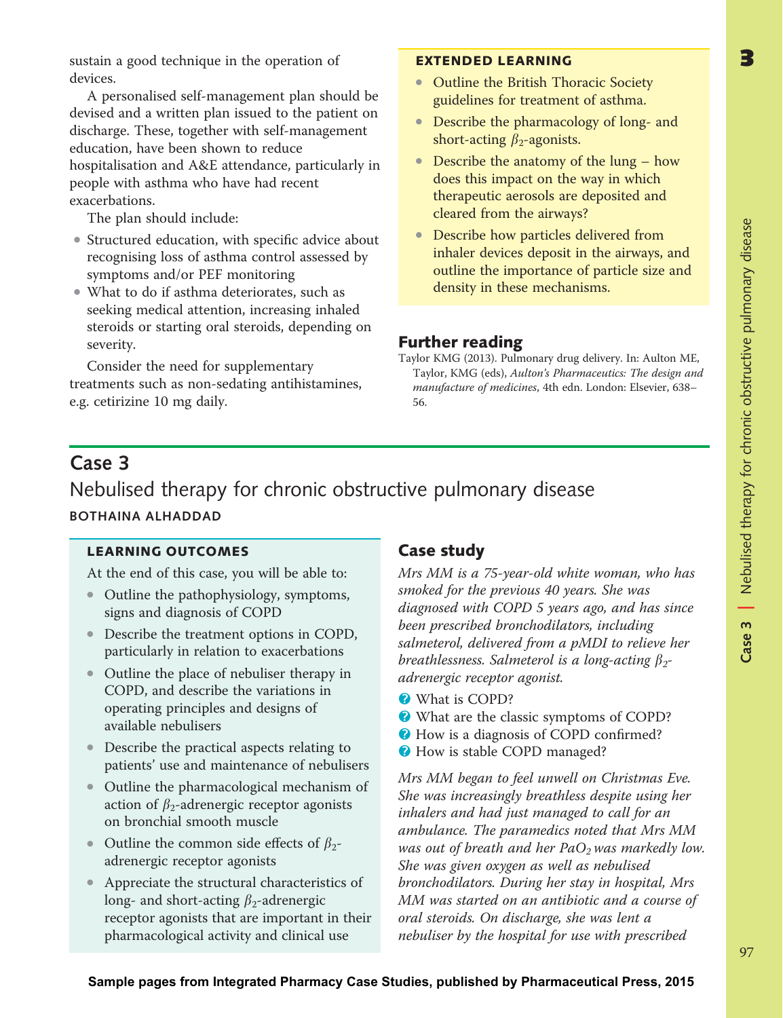sustain <sup>a</sup> good technique in the operation of devices.

A personalised self-management plan should be devised and <sup>a</sup> written plan issued to the patient on discharge. These, together with self-management education, have been shown to reduce hospitalisation and A&E attendance, particularly in people with asthma who have had recent exacerbations.

The plan should include:

- . Structured education, with speci fi<sup>c</sup> advice about recognising loss of asthma control assessed by symptoms and/or PEF monitoring
- . What to do if asthma deteriorates, such as seeking medical attention, increasing inhaled steroids or starting oral steroids, depending on severity.

Consider the need for supplementary treatments such as non-sedating antihistamines, e.g. cetirizine <sup>10</sup> mg daily.

## EXTENDED LEARNING

- . Outline the British Thoracic Society guidelines for treatment of asthma.
- . Describe the pharmacology of long- and short-acting  $\beta_2$ -agonists.
- . Describe the anatomy of the lung how does this impact on the way in which therapeutic aerosols are deposited and cleared from the airways?
- . Describe how particles delivered from inhaler devices deposit in the airways, and outline the importance of particle size and density in these mechanisms.

## Further reading

Taylor KMG (2013). Pulmonary drug delivery. In: Aulton ME, Taylor, KMG (eds), Aulton'<sup>s</sup> Pharmaceutics: The design and manufacture of medicines, 4th edn. London: Elsevier, 638– 56.

## Case 3

## Nebulised therapy for chronic obstructive pulmonary disease BOTHAINA ALHADDAD

## LEARNING OUTCOMES

At the end of this case, you will be able to:

- . Outline the pathophysiology, symptoms, signs and diagnosis of COPD
- . Describe the treatment options in COPD, particularly in relation to exacerbations
- . Outline the place of nebuliser therapy in COPD, and describe the variations in operating principles and designs of available nebulisers
- . Describe the practical aspects relating to patients' use and maintenance of nebulisers
- . Outline the pharmacological mechanism of action of  $\beta_2$ -adrenergic receptor agonists on bronchial smooth muscle
- Outline the common side effects of  $\beta_2$ adrenergic receptor agonists
- . Appreciate the structural characteristics of long- and short-acting  $\beta_2$ -adrenergic receptor agonists that are important in their pharmacological activity and clinical use

## Case study

Mrs MM is <sup>a</sup> 75-year-old white woman, who has smoked for the previous 40 years. She was diagnosed with COPD 5 years ago, and has since been prescribed bronchodilators, including salmeterol, delivered from <sup>a</sup> pMDI to relieve her breathlessness. Salmeterol is a long-acting  $\beta_{2}$ adrenergic receptor agonist.

- **2** What is COPD?
- .? What are the classic symptoms of COPD?
- **2** How is a diagnosis of COPD confirmed?
- **•** How is stable COPD managed?

Mrs MM began to feel unwell on Christmas Eve. She was increasingly breathless despite using her inhalers and had just managed to call for an ambulance. The paramedics noted that Mrs MM was out of breath and her  $PaO<sub>2</sub>$  was markedly low. She was given oxygen as well as nebulised bronchodilators. During her stay in hospital, Mrs MM was started on an antibiotic and <sup>a</sup> course of oral steroids. On discharge, she was lent <sup>a</sup> nebuliser by the hospital for use with prescribed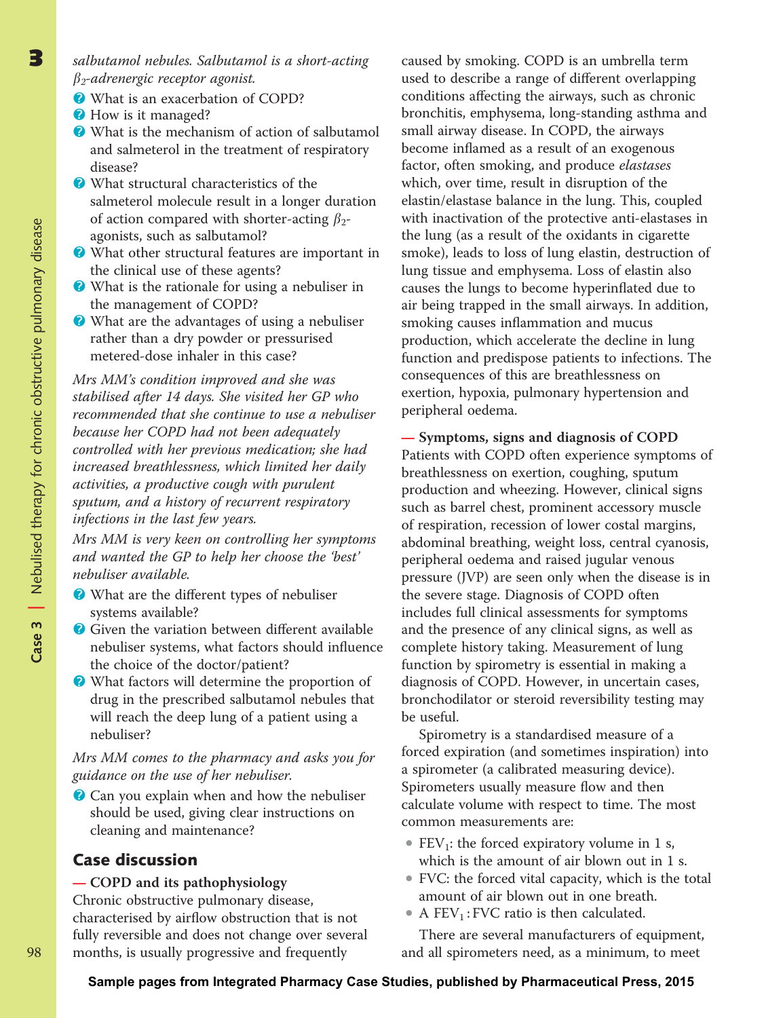- .? What is an exacerbation of COPD?
- **•** How is it managed?
- .? What is the mechanism of action of salbutamol and salmeterol in the treatment of respiratory disease?
- **2** What structural characteristics of the salmeterol molecule result in <sup>a</sup> longer duration of action compared with shorter-acting  $\beta_2$ agonists, such as salbutamol?
- .? What other structural features are important in the clinical use of these agents?
- .? What is the rationale for using <sup>a</sup> nebuliser in the managemen<sup>t</sup> of COPD?
- .? What are the advantages of using <sup>a</sup> nebuliser rather than <sup>a</sup> dry powder or pressurised metered-dose inhaler in this case?

Mrs MM'<sup>s</sup> condition improved and she was stabilised after <sup>14</sup> days. She visited her GP who recommended that she continue to use <sup>a</sup> nebuliserbecause her COPD had not been adequately controlled with her previous medication; she had increased breathlessness, which limited her daily activities, <sup>a</sup> productive cough with purulent sputum, and <sup>a</sup> history of recurrent respiratory infections in the last few years.

Mrs MM is very keen on controlling her symptoms and wanted the GP to help her choose the 'best' nebuliser available.

- **2** What are the different types of nebuliser systems available?
- **O** Given the variation between different available nebuliser systems, what factors should in fluence the choice of the doctor/patient?
- .? What factors will determine the proportion of drug in the prescribed salbutamol nebules that will reach the deep lung of <sup>a</sup> patient using <sup>a</sup> nebuliser?

## Mrs MM comes to the pharmacy and asks you for guidance on the use of her nebuliser.

**2** Can you explain when and how the nebuliser should be used, giving clear instructions on cleaning and maintenance?

## Case discussion

— COPD and its pathophysiology

Chronic obstructive pulmonary disease, characterised by air flow obstruction that is not fully reversible and does not change over several months, is usually progressive and frequently

caused by smoking. COPD is an umbrella term used to describe <sup>a</sup> range of di fferent overlapping conditions <sup>a</sup> ffecting the airways, such as chronic bronchitis, emphysema, long-standing asthma and small airway disease. In COPD, the airways become in flamed as <sup>a</sup> result of an exogenous factor, often smoking, and produce elastases which, over time, result in disruption of the elastin/elastase balance in the lung. This, coupled with inactivation of the protective anti-elastases in the lung (as <sup>a</sup> result of the oxidants in cigarette smoke), leads to loss of lung elastin, destruction of lung tissue and emphysema. Loss of elastin also causes the lungs to become hyperin flated due toair being trapped in the small airways. In addition, smoking causes in flammation and mucus production, which accelerate the decline in lung function and predispose patients to infections. The consequences of this are breathlessness on exertion, hypoxia, pulmonary hypertension and peripheral oedema.

— Symptoms, signs and diagnosis of COPD Patients with COPD often experience symptoms of breathlessness on exertion, coughing, sputum production and wheezing. However, clinical signs such as barrel chest, prominent accessory muscle of respiration, recession of lower costal margins, abdominal breathing, weight loss, central cyanosis, peripheral oedema and raised jugular venous pressure (JVP) are seen only when the disease is in the severe stage. Diagnosis of COPD often includes full clinical assessments for symptoms and the presence of any clinical signs, as well as complete history taking. Measurement of lung function by spirometry is essential in making <sup>a</sup> diagnosis of COPD. However, in uncertain cases, bronchodilator or steroid reversibility testing may be useful.

Spirometry is <sup>a</sup> standardised measure of <sup>a</sup> forced expiration (and sometimes inspiration) into <sup>a</sup> spirometer (a calibrated measuring device). Spirometers usually measure flow and then calculate volume with respec<sup>t</sup> to time. The most common measurements are:

- $\bullet$  FEV<sub>1</sub>: the forced expiratory volume in 1 s, which is the amount of air blown out in 1 s.
- . FVC: the forced vital capacity, which is the total amount of air blown out in one breath.
- A  $FEV_1$ : FVC ratio is then calculated.

There are several manufacturers of equipment, and all spirometers need, as <sup>a</sup> minimum, to meet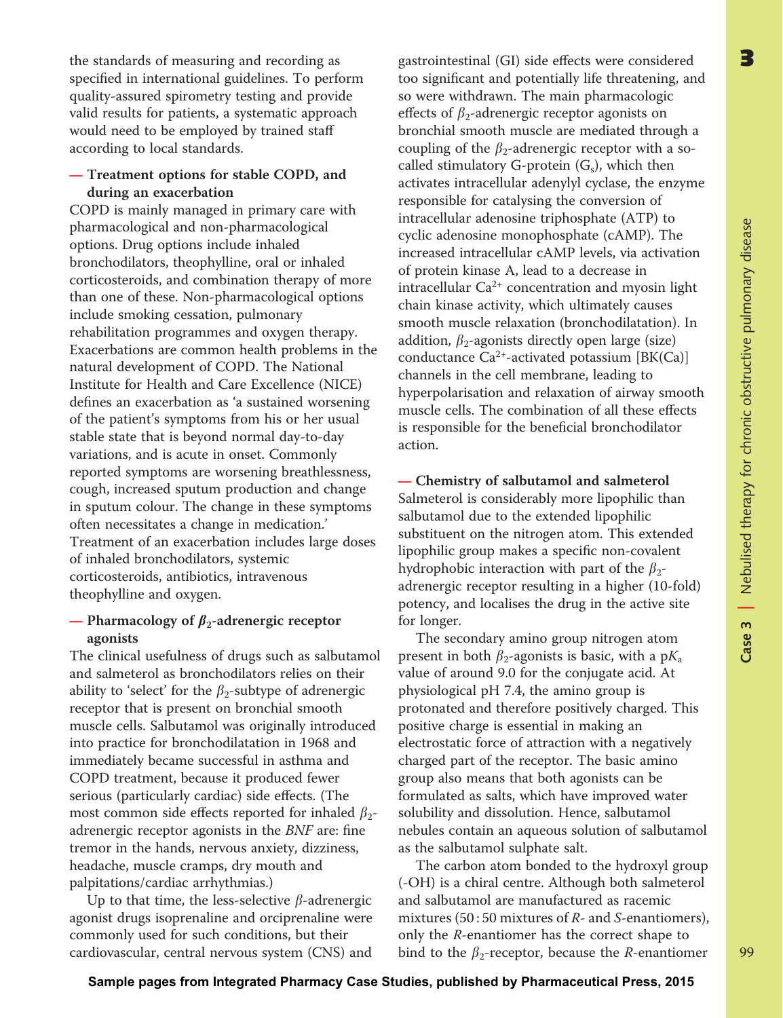the standards of measuring and recording as speci fied in international guidelines. To perform quality-assured spirometry testing and provide valid results for patients, <sup>a</sup> systematic approach would need to be employed by trained sta ff according to local standards.

## — Treatment options for stable COPD, and during an exacerbation

COPD is mainly managed in primary care with pharmacological and non-pharmacological options. Drug options include inhaled bronchodilators, theophylline, oral or inhaled corticosteroids, and combination therapy of more than one of these. Non-pharmacological options include smoking cessation, pulmonary rehabilitation programmes and oxygen therapy. Exacerbations are common health problems in the natural development of COPD. The National Institute for Health and Care Excellence (NICE) de fines an exacerbation as '<sup>a</sup> sustained worsening of the patient'<sup>s</sup> symptoms from his or her usual stable state that is beyond normal day-to-day variations, and is acute in onset. Commonly reported symptoms are worsening breathlessness, cough, increased sputum production and change in sputum colour. The change in these symptoms often necessitates <sup>a</sup> change in medication.' Treatment of an exacerbation includes large doses of inhaled bronchodilators, systemic corticosteroids, antibiotics, intravenous theophylline and oxygen.

## — Pharmacology of  $\beta_2$ -adrenergic receptor agonists

The clinical usefulness of drugs such as salbutamol and salmeterol as bronchodilators relies on theirability to 'select' for the  $\beta_2$ -subtype of adrenergic receptor that is presen<sup>t</sup> on bronchial smooth muscle cells. Salbutamol was originally introduced into practice for bronchodilatation in 1968 and immediately became successful in asthma and COPD treatment, because it produced fewer serious (particularly cardiac) side <sup>e</sup> ffects. (The most common side effects reported for inhaled  $\beta_2$ adrenergic receptor agonists in the *BNF* are: fine tremor in the hands, nervous anxiety, dizziness, headache, muscle cramps, dry mouth and palpitations/cardiac arrhythmias.)

Up to that time, the less-selective  $\beta$ -adrenergic agonist drugs isoprenaline and orciprenaline were commonly used for such conditions, but their cardiovascular, central nervous system (CNS) and

gastrointestinal (GI) side <sup>e</sup> ffects were considered too signi ficant and potentially life threatening, and so were withdrawn. The main pharmacologic effects of  $\beta_2$ -adrenergic receptor agonists on bronchial smooth muscle are mediated through <sup>a</sup> coupling of the  $\beta_2$ -adrenergic receptor with a socalled stimulatory G-protein  $(G_s)$ , which then activates intracellular adenylyl cyclase, the enzyme responsible for catalysing the conversion of intracellular adenosine triphosphate (ATP) to cyclic adenosine monophosphate (cAMP). The increased intracellular cAMP levels, via activation of protein kinase A, lead to <sup>a</sup> decrease in intracellular  $Ca^{2+}$  concentration and myosin light chain kinase activity, which ultimately causes smooth muscle relaxation (bronchodilatation). In addition,  $\beta_2$ -agonists directly open large (size) conductance  $Ca^{2+}$ -activated potassium [BK(Ca)] channels in the cell membrane, leading to hyperpolarisation and relaxation of airway smooth muscle cells. The combination of all these <sup>e</sup>ffectsis responsible for the bene ficial bronchodilator action.

— Chemistry of salbutamol and salmeterol Salmeterol is considerably more lipophilic than salbutamol due to the extended lipophilic substituent on the nitrogen atom. This extended lipophilic group makes <sup>a</sup> spec<sup>i</sup> fi<sup>c</sup> non-covalent hydrophobic interaction with part of the  $\beta_2$ adrenergic receptor resulting in <sup>a</sup> higher (10-fold) potency, and localises the drug in the active site for longer.

The secondary amino group nitrogen atom present in both  $\beta_2$ -agonists is basic, with a p $K_\mathrm{a}$ value of around 9.0 for the conjugate acid. At physiological p<sup>H</sup> 7.4, the amino group is protonated and therefore positively charged. This positive charge is essential in making an electrostatic force of attraction with <sup>a</sup> negatively charged par<sup>t</sup> of the receptor. The basic amino group also means that both agonists can be formulated as salts, which have improved water solubility and dissolution. Hence, salbutamol nebules contain an aqueous solution of salbutamol as the salbutamol sulphate salt.

The carbon atom bonded to the hydroxyl group (-OH) is <sup>a</sup> chiral centre. Although both salmeterol and salbutamol are manufactured as racemic mixtures (50 : 50 mixtures of R- and S-enantiomers), only the R-enantiomer has the correct shape to bind to the  $\beta_2$ -receptor, because the *R-*enantiomer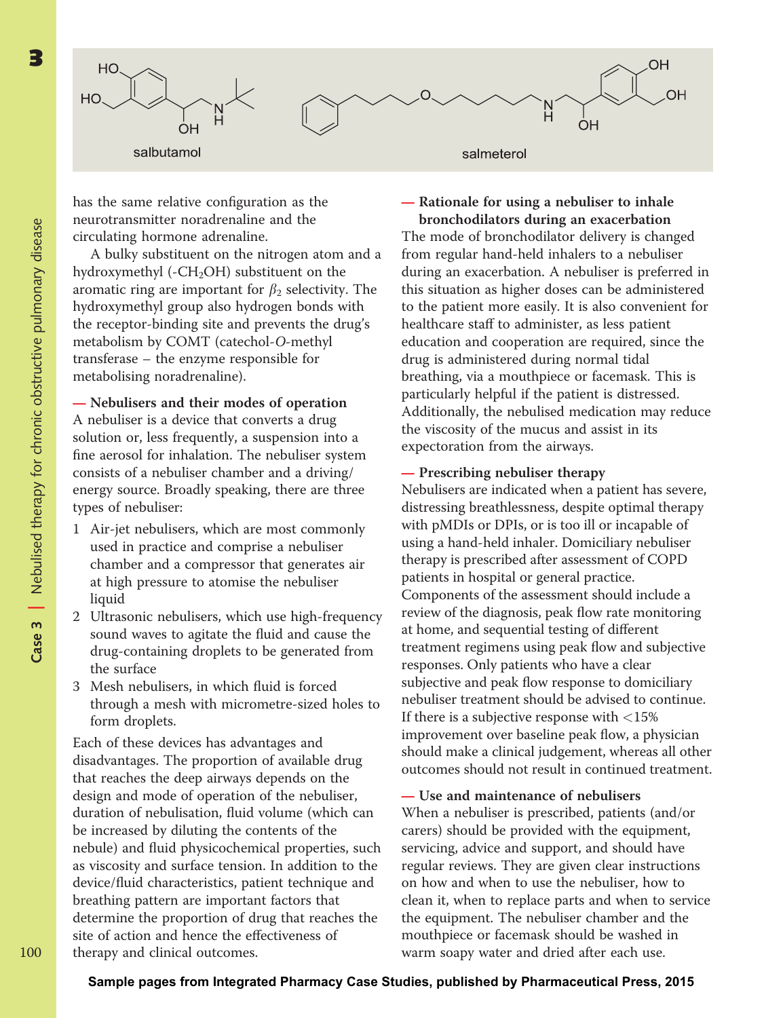

has the same relative con figuration as the neurotransmitter noradrenaline and thecirculating hormone adrenaline.

A bulky substituent on the nitrogen atom and <sup>a</sup> hydroxymethyl (- $CH<sub>2</sub>OH$ ) substituent on the aromatic ring are important for  $\beta_2$  selectivity. The hydroxymethyl group also hydrogen bonds with the receptor-binding site and prevents the drug'<sup>s</sup> metabolism by COMT (catechol-O-methyl transferase – the enzyme responsible for metabolising noradrenaline).

— Nebulisers and their modes of operation A nebuliser is <sup>a</sup> device that converts <sup>a</sup> drug solution or, less frequently, <sup>a</sup> suspension into <sup>a</sup> fine aerosol for inhalation. The nebuliser system consists of <sup>a</sup> nebuliser chamber and <sup>a</sup> driving/ energy source. Broadly speaking, there are three types of nebuliser:

- <sup>1</sup> Air-jet nebulisers, which are most commonly used in practice and comprise <sup>a</sup> nebuliser chamber and <sup>a</sup> compressor that generates air at high pressure to atomise the nebuliser liquid
- <sup>2</sup> Ultrasonic nebulisers, which use high-frequency sound waves to agitate the fluid and cause the drug-containing droplets to be generated from the surface
- 3 Mesh nebulisers, in which fluid is forcedthrough <sup>a</sup> mesh with micrometre-sized holes to form droplets.

Each of these devices has advantages and disadvantages. The proportion of available drug that reaches the deep airways depends on the design and mode of operation of the nebuliser, duration of nebulisation, fluid volume (which can be increased by diluting the contents of the nebule) and fluid physicochemical properties, such as viscosity and surface tension. In addition to the device/ fluid characteristics, patient technique and breathing pattern are important factors that determine the proportion of drug that reaches the site of action and hence the <sup>e</sup> ffectiveness of therapy and clinical outcomes.

### — Rationale for using <sup>a</sup> nebuliser to inhale bronchodilators during an exacerbation

The mode of bronchodilator delivery is changed from regular hand-held inhalers to <sup>a</sup> nebuliser during an exacerbation. A nebuliser is preferred in this situation as higher doses can be administered to the patient more easily. It is also convenient for healthcare staff to administer, as less patient education and cooperation are required, since the drug is administered during normal tidal breathing, via <sup>a</sup> mouthpiece or facemask. This is particularly helpful if the patient is distressed. Additionally, the nebulised medication may reduce the viscosity of the mucus and assist in its expectoration from the airways.

#### — Prescribing nebuliser therapy

Nebulisers are indicated when <sup>a</sup> patient has severe, distressing breathlessness, despite optimal therapy with pMDIs or DPIs, or is too ill or incapable of using <sup>a</sup> hand-held inhaler. Domiciliary nebuliser therapy is prescribed after assessment of COPD patients in hospital or general practice. Components of the assessment should include <sup>a</sup> review of the diagnosis, peak flow rate monitoring at home, and sequential testing of di fferent treatment regimens using peak flow and subjective responses. Only patients who have <sup>a</sup> clear subjective and peak flow response to domiciliary nebuliser treatment should be advised to continue. If there is <sup>a</sup> subjective response with <15%improvement over baseline peak flow, <sup>a</sup> physician should make <sup>a</sup> clinical judgement, whereas all other outcomes should not result in continued treatment.

— Use and maintenance of nebulisers

When <sup>a</sup> nebuliser is prescribed, patients (and/or carers) should be provided with the equipment, servicing, advice and support, and should have regular reviews. They are given clear instructions on how and when to use the nebuliser, how to clean it, when to replace parts and when to service the equipment. The nebuliser chamber and the mouthpiece or facemask should be washed in warm soapy water and dried after each use.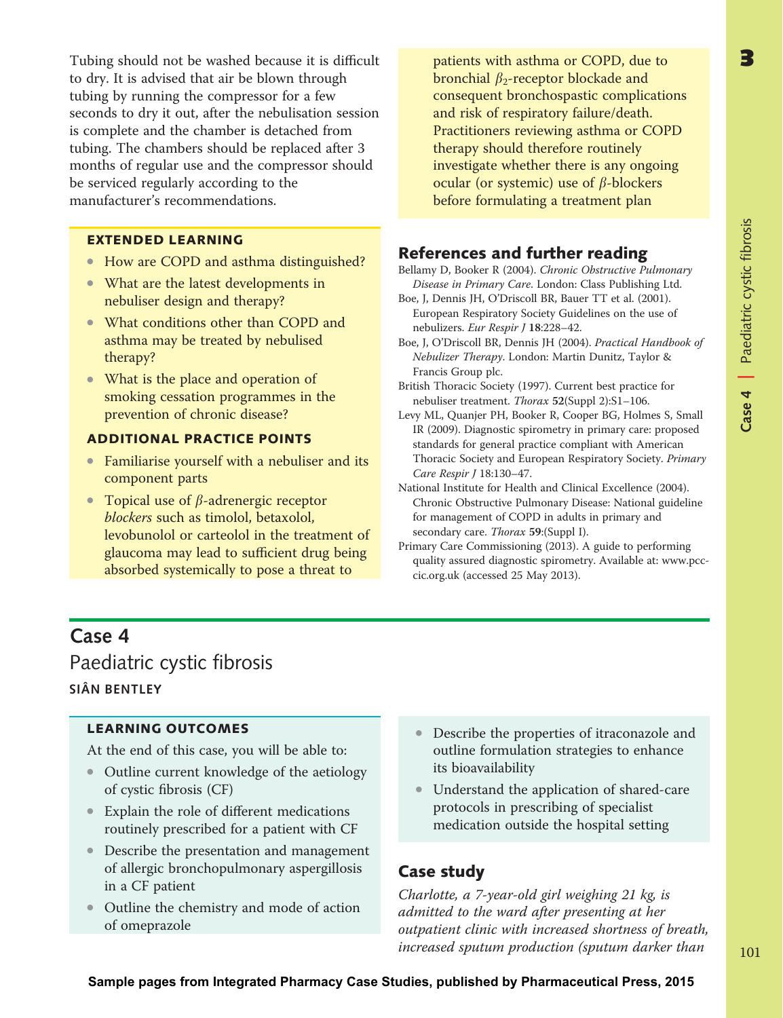Tubing should not be washed because it is difficult to dry. It is advised that air be blown through tubing by running the compressor for <sup>a</sup> few seconds to dry it out, after the nebulisation session is complete and the chamber is detached from tubing. The chambers should be replaced after <sup>3</sup> months of regular use and the compressor should be serviced regularly according to the manufacturer'<sup>s</sup> recommendations.

## EXTENDED LEARNING

- . How are COPD and asthma distinguished?
- . What are the latest developments in nebuliser design and therapy?
- . What conditions other than COPD andasthma may be treated by nebulised therapy?
- . What is the place and operation of smoking cessation programmes in the prevention of chronic disease?

## ADDITIONAL PRACTICE POINTS

- . Familiarise yourself with <sup>a</sup> nebuliser and its component parts
- Topical use of  $\beta$ -adrenergic receptor blockers such as timolol, betaxolol, levobunolol or carteolol in the treatment of glaucoma may lead to sufficient drug being absorbed systemically to pose <sup>a</sup> threat to

patients with asthma or COPD, due to bronchial  $\beta_2$ -receptor blockade and consequen<sup>t</sup> bronchospastic complications and risk of respiratory failure/death. Practitioners reviewing asthma or COPD therapy should therefore routinely investigate whether there is any ongoing ocular (or systemic) use of  $\beta$ -blockers before formulating <sup>a</sup> treatment plan

## References and further reading

- Bellamy D, Booker R (2004). Chronic Obstructive Pulmonary Disease in Primary Care. London: Class Publishing Ltd.
- Boe, J, Dennis JH, O'Driscoll BR, Bauer TT et al. (2001). European Respiratory Society Guidelines on the use of nebulizers. *Eur Respir J* 18:228–42.
- Boe, J, O'Driscoll BR, Dennis JH (2004). Practical Handbook of Nebulizer Therapy. London: Martin Dunitz, Taylor & Francis Group plc.
- British Thoracic Society (1997). Current best practice for nebuliser treatment. Thorax 52(Suppl 2):S1-106.
- Levy ML, Quanjer PH, Booker R, Cooper BG, Holmes S, Small IR (2009). Diagnostic spirometry in primary care: proposed standards for general practice compliant with American Thoracic Society and European Respiratory Society. Primary Care Respir J 18:130–47.
- National Institute for Health and Clinical Excellence (2004). Chronic Obstructive Pulmonary Disease: National guideline for managemen<sup>t</sup> of COPD in adults in primary and secondary care. Thorax 59: (Suppl I).
- Primary Care Commissioning (2013). A guide to performing quality assured diagnostic spirometry. Available at: www.pcccic.org.uk (accessed <sup>25</sup> May 2013).

## Case 4

## Paediatric cystic fibrosis

## SIÂN BENTLEY

## LEARNING OUTCOMES

At the end of this case, you will be able to:

- . Outline current knowledge of the aetiology of cystic fibrosis (CF)
- . Explain the role of different medications routinely prescribed for <sup>a</sup> patient with CF
- . Describe the presentation and managemen<sup>t</sup> of allergic bronchopulmonary aspergillosis in <sup>a</sup> CF patient
- . Outline the chemistry and mode of action of omeprazole
- . Describe the properties of itraconazole and outline formulation strategies to enhance its bioavailability
- . Understand the application of shared-care protocols in prescribing of specialist medication outside the hospital setting

## Case study

Charlotte, <sup>a</sup> 7-year-old girl weighing <sup>21</sup> kg, is admitted to the ward after presenting at her outpatient clinic with increased shortness of breath, increased sputum production (sputum darker than

3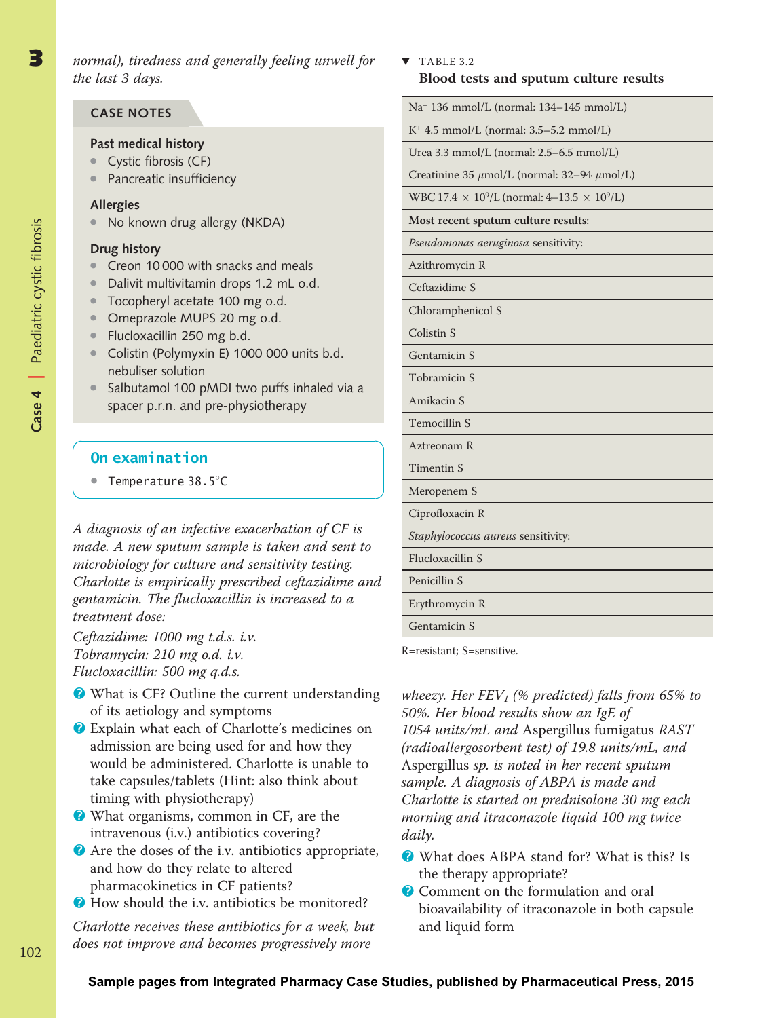E۰

normal), tiredness and generally feeling unwell for the last 3 days.

#### CASE NOTES $\mathcal{L}$

## Past medical history

- .Cystic fibrosis (CF)
- .Pancreatic insufficiency

#### Allergies

.No known drug allergy (NKDA)

## Drug history

- . Creon 10 000 with snacks and meals
- $\bullet$ Dalivit multivitamin drops 1.2 mL o.d.
- . Tocopheryl acetate 100 mg o.d.
- **Omeprazole MUPS 20 mg o.d.**
- . Flucloxacillin 250 mg b.d.
- . Colistin (Polymyxin E) 1000 000 units b.d. nebuliser solution
- . Salbutamol <sup>100</sup> pMDI two puffs inhaled via <sup>a</sup> spacer p.r.n. and pre-physiotherapy

## On examination

 $\bullet$  Temperature 38.5°C

A diagnosis of an infective exacerbation of CF is made. A new sputum sample is taken and sent to microbiology for culture and sensitivity testing. Charlotte is empirically prescribed ceftazidime and gentamicin. The flucloxacillin is increased to <sup>a</sup> treatment dose:

Ceftazidime: 1000 mg t.d.s. i.v. Tobramycin: 210 mg o.d. i.v. Flucloxacillin: 500 mg q.d.s.

- .? What is CF? Outline the current understanding of its aetiology and symptoms
- .? Explain what each of Charlotte'<sup>s</sup> medicines on admission are being used for and how they would be administered. Charlotte is unable totake capsules/tablets (Hint: also think about timing with physiotherapy)
- .? What organisms, common in CF, are the intravenous (i.v.) antibiotics covering?
- **2** Are the doses of the i.v. antibiotics appropriate, and how do they relate to altered pharmacokinetics in CF patients?
- **2** How should the i.v. antibiotics be monitored?

Charlotte receives these antibiotics for <sup>a</sup> week, but does not improve and becomes progressively more

 $\nabla$  TABLE 3.2 Blood tests and sputum culture results

Na+ 136 mmol/L (normal: 134–145 mmol/L)  $K^+$  4.5 mmol/L (normal: 3.5–5.2 mmol/L) Urea 3.3 mmol/L (normal: 2.5–6.5 mmol/L) Creatinine 35  $\mu$ mol/L (normal: 32–94  $\mu$ mol/L) WBC 17.4  $\times$  10<sup>9</sup>/L (normal: 4–13.5  $\times$  10<sup>9</sup>/L) Most recent sputum culture results: Pseudomonas aeruginosa sensitivity: Azithromycin R Ceftazidime S Chloramphenicol S Colistin SGentamicin STobramicin SAmikacin STemocillin SAztreonam RTimentin SMeropenem S Ciprofloxacin R Staphylococcus aureus sensitivity: Flucloxacillin SPenicillin SErythromycin R Gentamicin S R=resistant; S=sensitive.

wheezy. Her  $FEV<sub>1</sub>$  (% predicted) falls from 65% to 50%. Her blood results show an IgE of 1054 units/mL and Aspergillus fumigatus RAST (radioallergosorbent test) of 19.8 units/mL, and Aspergillus sp. is noted in her recent sputum sample. A diagnosis of ABPA is made and Charlotte is started on prednisolone 30 mg each morning and itraconazole liquid 100 mg twice daily.

- .? What does ABPA stand for? What is this? Is the therapy appropriate?
- **2** Comment on the formulation and oral bioavailability of itraconazole in both capsule and liquid form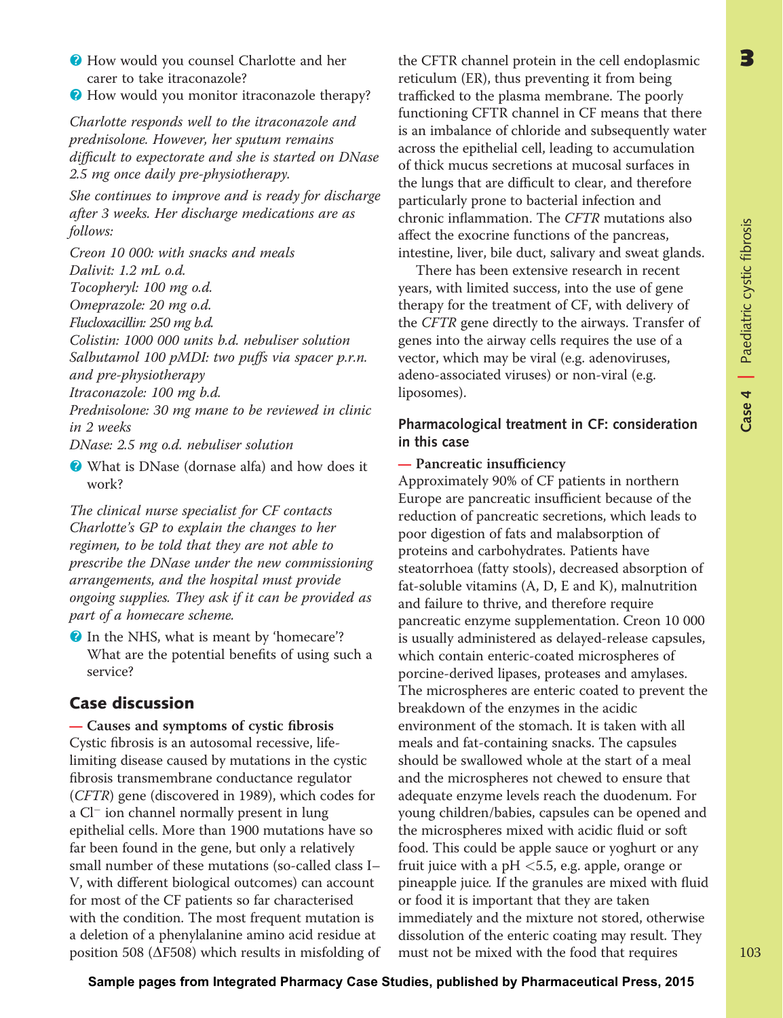- .? How would you counsel Charlotte and her carer to take itraconazole?
- .? How would you monitor itraconazole therapy?

Charlotte responds well to the itraconazole and prednisolone. However, her sputum remains difficult to expectorate and she is started on DNase 2.5 mg once daily pre-physiotherapy.

She continues to improve and is ready for discharge after 3 weeks. Her discharge medications are as follows:

Creon 10 000: with snacks and mealsDalivit: 1.2 mL o.d.Tocopheryl: 100 mg o.d. Omeprazole: 20 mg o.d. Flucloxacillin: 250 mg b.d. Colistin: 1000 000 units b.d. nebuliser solution Salbutamol 100 pMDI: two puffs via spacer p.r.n. and pre-physiotherapy Itraconazole: 100 mg b.d. Prednisolone: 30 mg mane to be reviewed in clinic in 2 weeksDNase: 2.5 mg o.d. nebuliser solution

.? What is DNase (dornase alfa) and how does it work?

The clinical nurse specialist for CF contacts Charlotte'<sup>s</sup> GP to explain the changes to her regimen, to be told that they are not able to prescribe the DNase under the new commissioning arrangements, and the hospital must provide ongoing supplies. They ask if it can be provided as part of <sup>a</sup> homecare scheme.

**2** In the NHS, what is meant by 'homecare'? What are the potential bene fits of using such <sup>a</sup> service?

## Case discussion

— Causes and symptoms of cystic fibrosis Cystic fibrosis is an autosomal recessive, lifelimiting disease caused by mutations in the cystic fibrosis transmembrane conductance regulator (CFTR) gene (discovered in 1989), which codes for  $a$  Cl<sup>-</sup> ion channel normally present in lung epithelial cells. More than 1900 mutations have so far been found in the gene, but only <sup>a</sup> relatively small number of these mutations (so-called class I –V, with di fferent biological outcomes) can account for most of the CF patients so far characterised with the condition. The most frequent mutation is <sup>a</sup> deletion of <sup>a</sup> phenylalanine amino acid residue at position 508 ( DF508) which results in misfolding of

the CFTR channel protein in the cell endoplasmic reticulum (ER), thus preventing it from being tra fficked to the plasma membrane. The poorly functioning CFTR channel in CF means that there is an imbalance of chloride and subsequently water across the epithelial cell, leading to accumulation of thick mucus secretions at mucosal surfaces inthe lungs that are di fficult to clear, and therefore particularly prone to bacterial infection and chronic inflammation. The CFTR mutations also <sup>a</sup>ffect the exocrine functions of the pancreas, intestine, liver, bile duct, salivary and sweat glands.

There has been extensive research in recentyears, with limited success, into the use of gene therapy for the treatment of CF, with delivery of the CFTR gene directly to the airways. Transfer of genes into the airway cells requires the use of <sup>a</sup> vector, which may be viral (e.g. adenoviruses, adeno-associated viruses) or non-viral (e.g. liposomes).

## Pharmacological treatment in CF: consideration in this case

#### — Pancreatic insu fficiency

Approximately 90% of CF patients in northern Europe are pancreatic insu fficient because of the reduction of pancreatic secretions, which leads to poor digestion of fats and malabsorption of proteins and carbohydrates. Patients have steatorrhoea (fatty stools), decreased absorption of fat-soluble vitamins (A, D, E and K), malnutrition and failure to thrive, and therefore require pancreatic enzyme supplementation. Creon <sup>10</sup> <sup>000</sup> is usually administered as delayed-release capsules, which contain enteric-coated microspheres of porcine-derived lipases, proteases and amylases. The microspheres are enteric coated to preven<sup>t</sup> the breakdown of the enzymes in the acidic environment of the stomach. It is taken with all meals and fat-containing snacks. The capsules should be swallowed whole at the start of <sup>a</sup> mealand the microspheres not chewed to ensure that adequate enzyme levels reach the duodenum. For young children/babies, capsules can be opened and the microspheres mixed with acidic fluid or soft food. This could be apple sauce or yoghurt or any fruit juice with <sup>a</sup> p<sup>H</sup> <sup>&</sup>lt;5.5, e.g. apple, orange or pineapple juice. If the granules are mixed with fluid or food it is important that they are taken immediately and the mixture not stored, otherwise dissolution of the enteric coating may result. They must not be mixed with the food that requires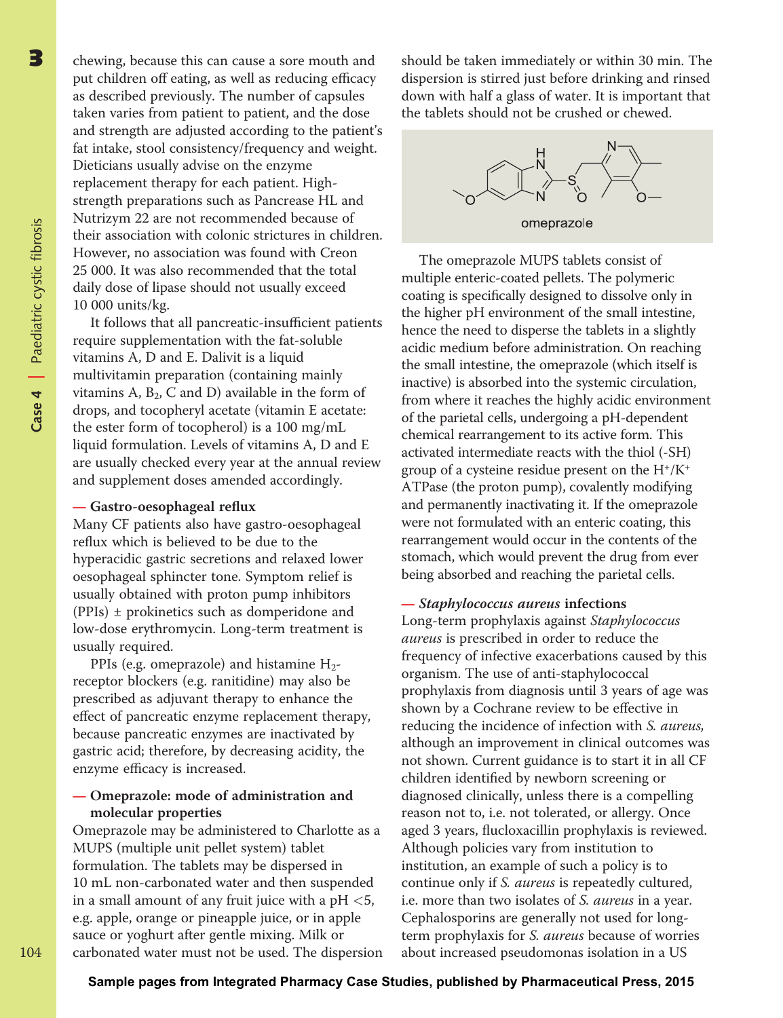chewing, because this can cause <sup>a</sup> sore mouth and pu<sup>t</sup> children <sup>o</sup> ff eating, as well as reducing <sup>e</sup> fficacy as described previously. The number of capsules taken varies from patient to patient, and the dose and strength are adjusted according to the patient'<sup>s</sup> fat intake, stool consistency/frequency and weight. Dieticians usually advise on the enzyme replacement therapy for each patient. Highstrength preparations such as Pancrease HL and Nutrizym <sup>22</sup> are not recommended because of their association with colonic strictures in children.However, no association was found with Creon 25 000. It was also recommended that the totaldaily dose of lipase should not usually exceed <sup>10</sup> <sup>000</sup> units/kg.

It follows that all pancreatic-insu fficient patients require supplementation with the fat-soluble vitamins A, D and E. Dalivit is <sup>a</sup> liquid multivitamin preparation (containing mainly vitamins A,  $B_2$ , C and D) available in the form of drops, and tocopheryl acetate (vitamin <sup>E</sup> acetate: the ester form of tocopherol) is <sup>a</sup> <sup>100</sup> mg/mL liquid formulation. Levels of vitamins A, D and E are usually checked every year at the annual review and supplement doses amended accordingly.

### — Gastro-oesophageal re flux

Many CF patients also have gastro-oesophageal reflux which is believed to be due to thehyperacidic gastric secretions and relaxed lower oesophageal sphincter tone. Symptom relief is usually obtained with proton pump inhibitors (PPIs) <sup>±</sup> prokinetics such as domperidone and low-dose erythromycin. Long-term treatment is usually required.

PPIs (e.g. omeprazole) and histamine  $H_2$ receptor blockers (e.g. ranitidine) may also be prescribed as adjuvant therapy to enhance the <sup>e</sup>ffect of pancreatic enzyme replacement therapy, because pancreatic enzymes are inactivated by gastric acid; therefore, by decreasing acidity, the enzyme <sup>e</sup> fficacy is increased.

## — Omeprazole: mode of administration and molecular properties

Omeprazole may be administered to Charlotte as <sup>a</sup> MUPS (multiple unit pellet system) tablet formulation. The tablets may be dispersed in 10 mL non-carbonated water and then suspended in a small amount of any fruit juice with a pH  $<$ 5, e.g. apple, orange or pineapple juice, or in apple sauce or yoghurt after gentle mixing. Milk or carbonated water must not be used. The dispersion should be taken immediately or within <sup>30</sup> min. The dispersion is stirred just before drinking and rinsed down with half <sup>a</sup> glass of water. It is important that the tablets should not be crushed or chewed.



The omeprazole MUPS tablets consist of multiple enteric-coated pellets. The polymeric coating is speci fically designed to dissolve only in the higher p<sup>H</sup> environment of the small intestine, hence the need to disperse the tablets in <sup>a</sup> slightly acidic medium before administration. On reaching the small intestine, the omeprazole (which itself is inactive) is absorbed into the systemic circulation, from where it reaches the highly acidic environment of the parietal cells, undergoing <sup>a</sup> pH-dependent chemical rearrangemen<sup>t</sup> to its active form. This activated intermediate reacts with the thiol (-SH) group of a cysteine residue present on the  $H^*/K^+$ ATPase (the proton pump), covalently modifying and permanently inactivating it. If the omeprazole were not formulated with an enteric coating, this rearrangemen<sup>t</sup> would occur in the contents of the stomach, which would preven<sup>t</sup> the drug from ever being absorbed and reaching the parietal cells.

— Staphylococcus aureus infections

Long-term prophylaxis against Staphylococcus aureus is prescribed in order to reduce the frequency of infective exacerbations caused by this organism. The use of anti-staphylococcal prophylaxis from diagnosis until <sup>3</sup> years of age was shown by <sup>a</sup> Cochrane review to be <sup>e</sup> ffective inreducing the incidence of infection with S. aureus, although an improvement in clinical outcomes was not shown. Current guidance is to start it in all CF children identi fied by newborn screening or diagnosed clinically, unless there is <sup>a</sup> compelling reason not to, i.e. not tolerated, or allergy. Once aged <sup>3</sup> years, flucloxacillin prophylaxis is reviewed. Although policies vary from institution to institution, an example of such <sup>a</sup> policy is to continue only if S. aureus is repeatedly cultured, i.e. more than two isolates of S. *aureus* in a year. Cephalosporins are generally not used for longterm prophylaxis for S. aureus because of worries about increased pseudomonas isolation in <sup>a</sup> US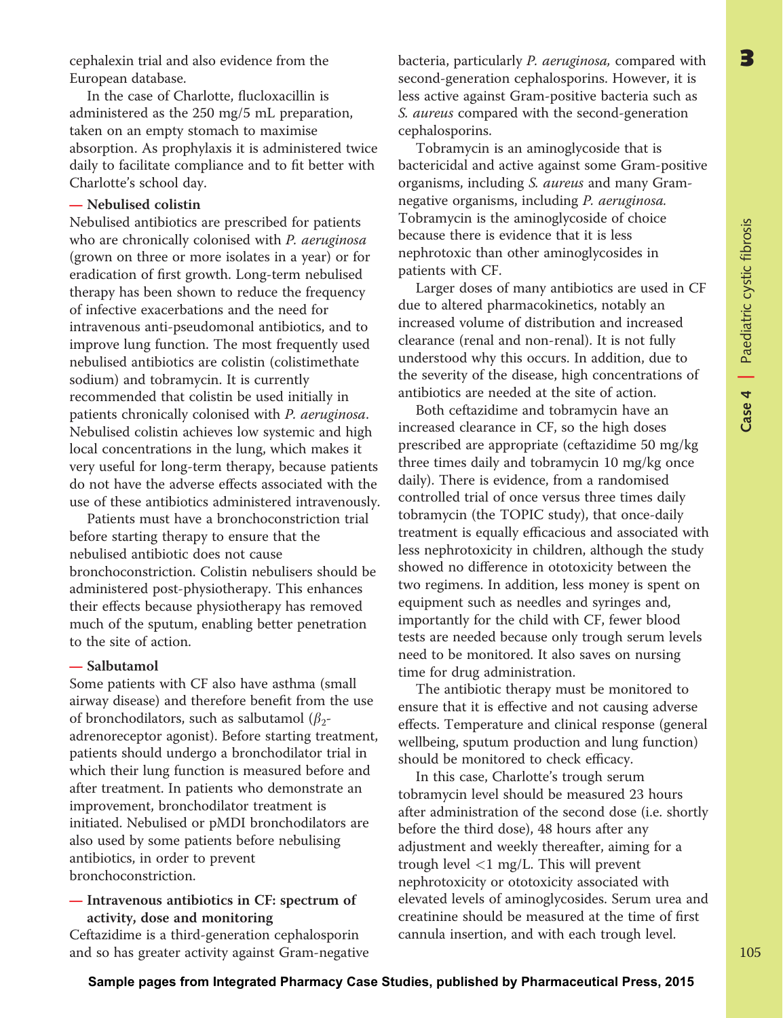European database. In the case of Charlotte, flucloxacillin is administered as the 250 mg/5 mL preparation, taken on an empty stomach to maximise absorption. As prophylaxis it is administered twice daily to facilitate compliance and to fit better with Charlotte'<sup>s</sup> school day.

cephalexin trial and also evidence from the

## — Nebulised colistin

Nebulised antibiotics are prescribed for patients who are chronically colonised with P. aeruginosa (grown on three or more isolates in <sup>a</sup> year) or for eradication of first growth. Long-term nebulised therapy has been shown to reduce the frequency of infective exacerbations and the need for intravenous anti-pseudomonal antibiotics, and to improve lung function. The most frequently used nebulised antibiotics are colistin (colistimethate sodium) and tobramycin. It is currently recommended that colistin be used initially in patients chronically colonised with P. aeruginosa. Nebulised colistin achieves low systemic and high local concentrations in the lung, which makes it very useful for long-term therapy, because patients do not have the adverse <sup>e</sup>ffects associated with theuse of these antibiotics administered intravenously.

Patients must have <sup>a</sup> bronchoconstriction trialbefore starting therapy to ensure that the nebulised antibiotic does not causebronchoconstriction. Colistin nebulisers should beadministered post-physiotherapy. This enhances their <sup>e</sup> ffects because physiotherapy has removed much of the sputum, enabling better penetration to the site of action.

## — Salbutamol

Some patients with CF also have asthma (small airway disease) and therefore bene fit from the use of bronchodilators, such as salbutamol ( $\beta_2$ adrenoreceptor agonist). Before starting treatment, patients should undergo <sup>a</sup> bronchodilator trial in which their lung function is measured before and after treatment. In patients who demonstrate an improvement, bronchodilator treatment is initiated. Nebulised or pMDI bronchodilators are also used by some patients before nebulising antibiotics, in order to preven<sup>t</sup> bronchoconstriction.

## — Intravenous antibiotics in CF: spectrum of activity, dose and monitoring

Ceftazidime is <sup>a</sup> third-generation cephalosporin and so has greater activity against Gram-negative

bacteria, particularly P. aeruginosa, compared with second-generation cephalosporins. However, it is less active against Gram-positive bacteria such as S. aureus compared with the second-generation cephalosporins.

Tobramycin is an aminoglycoside that is bactericidal and active against some Gram-positive organisms, including S. aureus and many Gramnegative organisms, including P. aeruginosa. Tobramycin is the aminoglycoside of choice because there is evidence that it is lessnephrotoxic than other aminoglycosides in patients with CF.

Larger doses of many antibiotics are used in CF due to altered pharmacokinetics, notably an increased volume of distribution and increasedclearance (renal and non-renal). It is not fully understood why this occurs. In addition, due to the severity of the disease, high concentrations of antibiotics are needed at the site of action.

Both ceftazidime and tobramycin have an increased clearance in CF, so the high doses prescribed are appropriate (ceftazidime <sup>50</sup> mg/kg three times daily and tobramycin <sup>10</sup> mg/kg once daily). There is evidence, from <sup>a</sup> randomised controlled trial of once versus three times daily tobramycin (the TOPIC study), that once-daily treatment is equally <sup>e</sup> fficacious and associated with less nephrotoxicity in children, although the study showed no di fference in ototoxicity between the two regimens. In addition, less money is spen<sup>t</sup> on equipment such as needles and syringes and, importantly for the child with CF, fewer blood tests are needed because only trough serum levels need to be monitored. It also saves on nursing time for drug administration.

The antibiotic therapy must be monitored to ensure that it is <sup>e</sup> ffective and not causing adverse <sup>e</sup>ffects. Temperature and clinical response (general wellbeing, sputum production and lung function) should be monitored to check <sup>e</sup> fficacy.

In this case, Charlotte'<sup>s</sup> trough serum tobramycin level should be measured <sup>23</sup> hours after administration of the second dose (i.e. shortly before the third dose), <sup>48</sup> hours after any adjustment and weekly thereafter, aiming for <sup>a</sup> trough level <sup>&</sup>lt;<sup>1</sup> mg/L. This will preven<sup>t</sup> nephrotoxicity or ototoxicity associated with elevated levels of aminoglycosides. Serum urea and creatinine should be measured at the time of first cannula insertion, and with each trough level.

3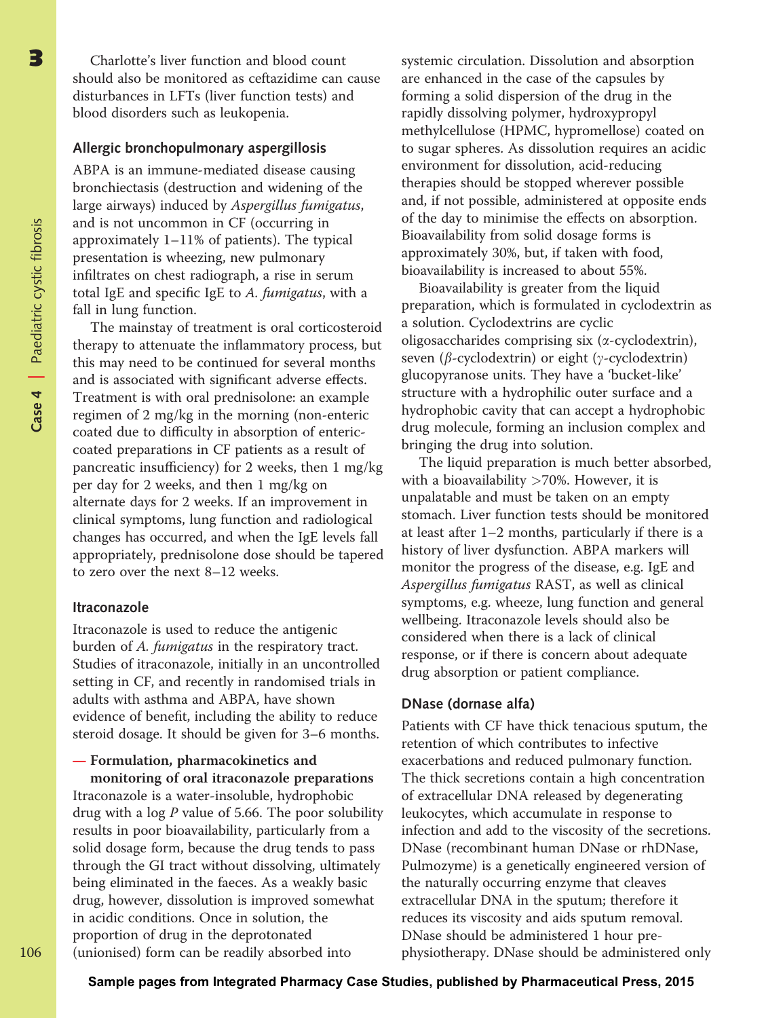Charlotte'<sup>s</sup> liver function and blood countshould also be monitored as ceftazidime can causedisturbances in LFTs (liver function tests) and blood disorders such as leukopenia.

## Allergic bronchopulmonary aspergillosis

ABPA is an immune-mediated disease causing bronchiectasis (destruction and widening of the large airways) induced by Aspergillus fumigatus, and is not uncommon in CF (occurring in approximately <sup>1</sup> –11% of patients). The typical presentation is wheezing, new pulmonary in filtrates on chest radiograph, <sup>a</sup> rise in serum total IgE and specific IgE to *A. fumigatus*, with a fall in lung function.

The mainstay of treatment is oral corticosteroid therapy to attenuate the in flammatory process, but this may need to be continued for several months and is associated with signi ficant adverse <sup>e</sup>ffects. Treatment is with oral prednisolone: an example regimen of <sup>2</sup> mg/kg in the morning (non-enteric coated due to di fficulty in absorption of entericcoated preparations in CF patients as <sup>a</sup> result of pancreatic insu fficiency) for <sup>2</sup> weeks, then <sup>1</sup> mg/kg per day for <sup>2</sup> weeks, and then <sup>1</sup> mg/kg on alternate days for <sup>2</sup> weeks. If an improvement in clinical symptoms, lung function and radiological changes has occurred, and when the IgE levels fall appropriately, prednisolone dose should be tapered to zero over the next 8–12 weeks.

## Itraconazole

Itraconazole is used to reduce the antigenic burden of *A. fumigatus* in the respiratory tract. Studies of itraconazole, initially in an uncontrolled setting in CF, and recently in randomised trials in adults with asthma and ABPA, have shown evidence of bene fit, including the ability to reduce steroid dosage. It should be given for <sup>3</sup> –6 months.

— Formulation, pharmacokinetics and monitoring of oral itraconazole preparations Itraconazole is <sup>a</sup> water-insoluble, hydrophobic drug with <sup>a</sup> log P value of 5.66. The poor solubility results in poor bioavailability, particularly from <sup>a</sup> solid dosage form, because the drug tends to pass through the GI tract without dissolving, ultimately being eliminated in the faeces. As <sup>a</sup> weakly basic drug, however, dissolution is improved somewhat in acidic conditions. Once in solution, the proportion of drug in the deprotonated (unionised) form can be readily absorbed into

systemic circulation. Dissolution and absorption are enhanced in the case of the capsules by forming <sup>a</sup> solid dispersion of the drug in the rapidly dissolving polymer, hydroxypropyl methylcellulose (HPMC, hypromellose) coated on to sugar spheres. As dissolution requires an acidic environment for dissolution, acid-reducing therapies should be stopped wherever possible and, if not possible, administered at opposite ends of the day to minimise the <sup>e</sup> ffects on absorption. Bioavailability from solid dosage forms is approximately 30%, but, if taken with food, bioavailability is increased to about 55%.

Bioavailability is greater from the liquid preparation, which is formulated in cyclodextrin as <sup>a</sup> solution. Cyclodextrins are cyclic oligosaccharides comprising six  $(\alpha$ -cyclodextrin), seven (β-cyclodextrin) or eight (γ-cyclodextrin) glucopyranose units. They have <sup>a</sup> 'bucket-like' structure with <sup>a</sup> hydrophilic outer surface and <sup>a</sup> hydrophobic cavity that can accep<sup>t</sup> <sup>a</sup> hydrophobic drug molecule, forming an inclusion complex and bringing the drug into solution.

The liquid preparation is much better absorbed, with <sup>a</sup> bioavailability >70%. However, it is unpalatable and must be taken on an empty stomach. Liver function tests should be monitoredat least after 1 –<sup>2</sup> months, particularly if there is <sup>a</sup> history of liver dysfunction. ABPA markers will monitor the progress of the disease, e.g. IgE and Aspergillus fumigatus RAST, as well as clinical symptoms, e.g. wheeze, lung function and general wellbeing. Itraconazole levels should also be considered when there is <sup>a</sup> lack of clinical response, or if there is concern about adequate drug absorption or patient compliance.

### DNase (dornase alfa)

Patients with CF have thick tenacious sputum, the retention of which contributes to infectiveexacerbations and reduced pulmonary function. The thick secretions contain <sup>a</sup> high concentration of extracellular DNA released by degenerating leukocytes, which accumulate in response to infection and add to the viscosity of the secretions. DNase (recombinant human DNase or rhDNase, Pulmozyme) is <sup>a</sup> genetically engineered version of the naturally occurring enzyme that cleaves extracellular DNA in the sputum; therefore it reduces its viscosity and aids sputum removal. DNase should be administered <sup>1</sup> hour prephysiotherapy. DNase should be administered only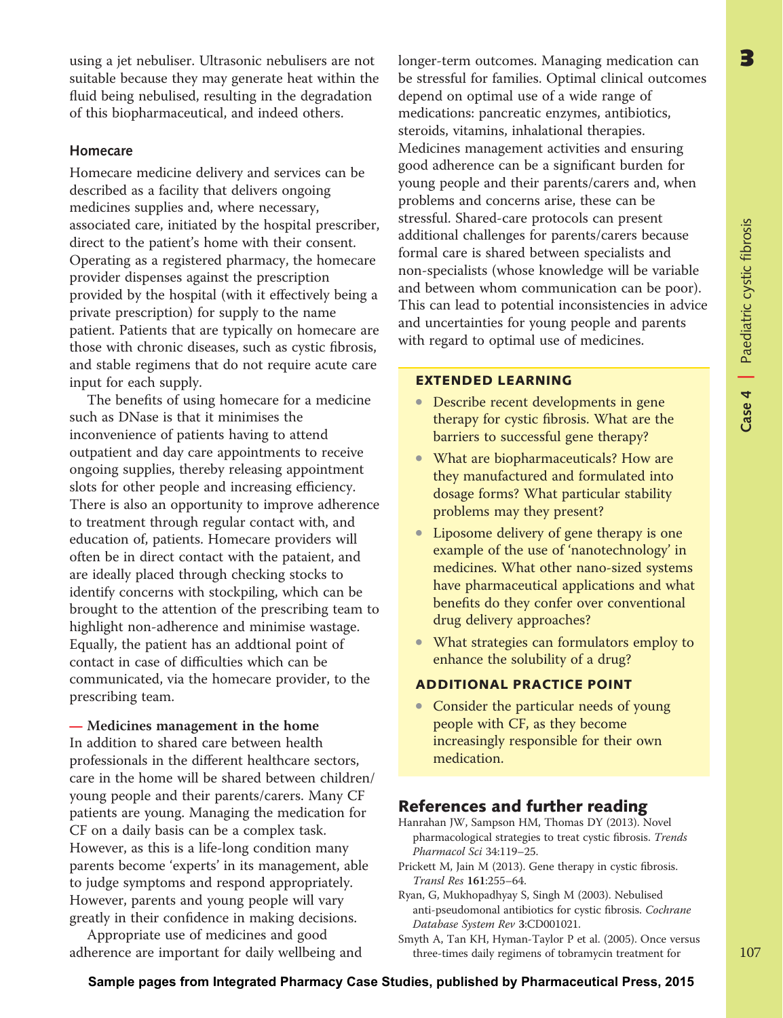using <sup>a</sup> jet nebuliser. Ultrasonic nebulisers are not suitable because they may generate heat within the fluid being nebulised, resulting in the degradation of this biopharmaceutical, and indeed others.

## Homecare

Homecare medicine delivery and services can be described as <sup>a</sup> facility that delivers ongoing medicines supplies and, where necessary, associated care, initiated by the hospital prescriber, direct to the patient'<sup>s</sup> home with their consent. Operating as <sup>a</sup> registered pharmacy, the homecare provider dispenses against the prescription provided by the hospital (with it <sup>e</sup> ffectively being <sup>a</sup> private prescription) for supply to the name patient. Patients that are typically on homecare are those with chronic diseases, such as cystic fibrosis, and stable regimens that do not require acute care input for each supply.

The bene fits of using homecare for <sup>a</sup> medicine such as DNase is that it minimises theinconvenience of patients having to attend outpatient and day care appointments to receive ongoing supplies, thereby releasing appointment slots for other people and increasing <sup>e</sup> fficiency. There is also an opportunity to improve adherence to treatment through regular contact with, and education of, patients. Homecare providers will often be in direct contact with the pataient, and are ideally placed through checking stocks to identify concerns with stockpiling, which can be brought to the attention of the prescribing team to highlight non-adherence and minimise wastage. Equally, the patient has an addtional point of contact in case of di fficulties which can be communicated, via the homecare provider, to the prescribing team.

— Medicines managemen<sup>t</sup> in the home In addition to shared care between healthprofessionals in the di fferent healthcare sectors, care in the home will be shared between children/ young people and their parents/carers. Many CF patients are young. Managing the medication for CF on <sup>a</sup> daily basis can be <sup>a</sup> complex task. However, as this is <sup>a</sup> life-long condition many parents become 'experts' in its management, able to judge symptoms and respond appropriately. However, parents and young people will vary greatly in their con fidence in making decisions.

Appropriate use of medicines and good adherence are important for daily wellbeing and longer-term outcomes. Managing medication can be stressful for families. Optimal clinical outcomes depend on optimal use of <sup>a</sup> wide range of medications: pancreatic enzymes, antibiotics, steroids, vitamins, inhalational therapies. Medicines managemen<sup>t</sup> activities and ensuring good adherence can be <sup>a</sup> signi ficant burden for young people and their parents/carers and, when problems and concerns arise, these can be stressful. Shared-care protocols can presen<sup>t</sup> additional challenges for parents/carers because formal care is shared between specialists and non-specialists (whose knowledge will be variable and between whom communication can be poor). This can lead to potential inconsistencies in advice and uncertainties for young people and parents

## EXTENDED LEARNING

with regard to optimal use of medicines.

- . Describe recent developments in gene therapy for cystic fibrosis. What are the barriers to successful gene therapy?
- . What are biopharmaceuticals? How are they manufactured and formulated into dosage forms? What particular stability problems may they present?
- . Liposome delivery of gene therapy is one example of the use of 'nanotechnology' in medicines. What other nano-sized systems have pharmaceutical applications and what bene fits do they confer over conventional drug delivery approaches?
- . What strategies can formulators employ to enhance the solubility of <sup>a</sup> drug?

## ADDITIONAL PRACTICE POINT

. Consider the particular needs of young people with CF, as they become increasingly responsible for their own medication.

## References and further reading

- Hanrahan JW, Sampson HM, Thomas DY (2013). Novel pharmacological strategies to treat cystic fibrosis. Trends Pharmacol Sci 34:119–25.
- Prickett M, Jain <sup>M</sup> (2013). Gene therapy in cystic fibrosis. Transl Res 161:255–64.
- Ryan, G, Mukhopadhyay S, Singh <sup>M</sup> (2003). Nebulised anti-pseudomonal antibiotics for cystic fibrosis. Cochrane Database System Rev 3:CD001021.
- Smyth A, Tan KH, Hyman-Taylor <sup>P</sup> et al. (2005). Once versus three-times daily regimens of tobramycin treatment for

3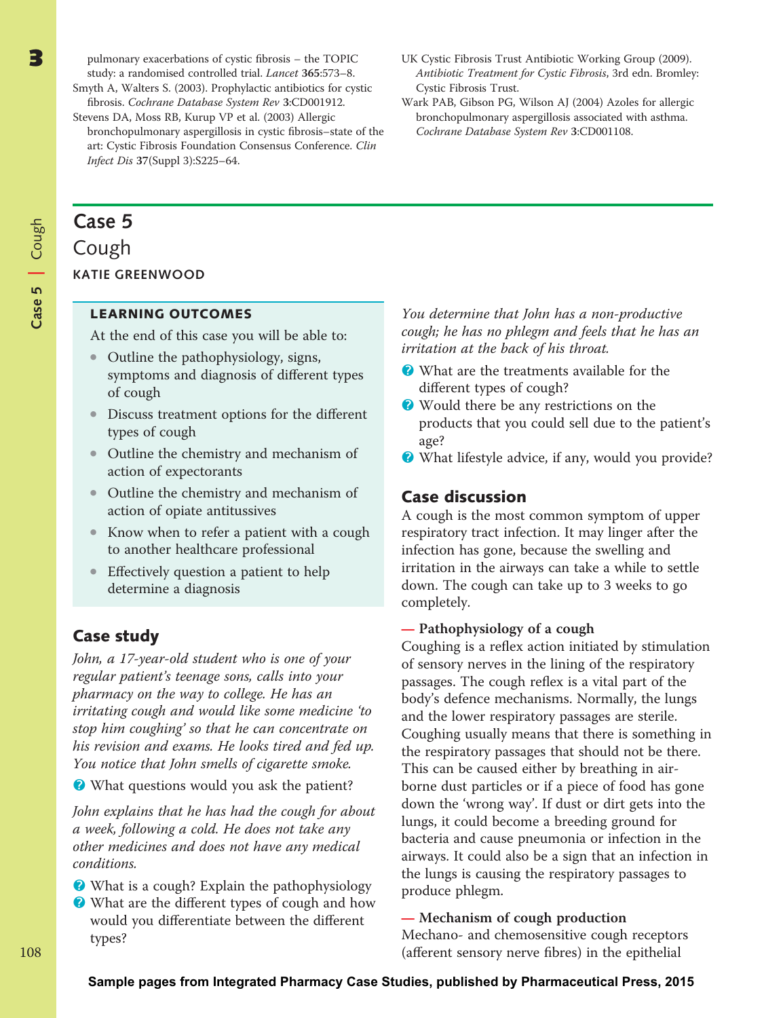pulmonary exacerbations of cystic fibrosis – the TOPIC study: <sup>a</sup> randomised controlled trial. Lancet 365:573–8.

Smyth A, Walters S. (2003). Prophylactic antibiotics for cystic fibrosis. Cochrane Database System Rev 3:CD001912.

Stevens DA, Moss RB, Kurup VP et al. (2003) Allergic bronchopulmonary aspergillosis in cystic fibrosis–state of the art: Cystic Fibrosis Foundation Consensus Conference. Clin Infect Dis <sup>37</sup>(Suppl 3):S225–64.

# Case 5Cough KATIE GREENWOOD

## LEARNING OUTCOMES

At the end of this case you will be able to:

- . Outline the pathophysiology, signs, symptoms and diagnosis of di fferent types of cough
- . Discuss treatment options for the di fferent types of cough
- . Outline the chemistry and mechanism of action of expectorants
- . Outline the chemistry and mechanism of action of opiate antitussives
- . Know when to refer <sup>a</sup> patient with <sup>a</sup> cough to another healthcare professional
- . E ffectively question <sup>a</sup> patient to help determine <sup>a</sup> diagnosis

## Case study

John, <sup>a</sup> 17-year-old student who is one of your regular patient'<sup>s</sup> teenage sons, calls into your pharmacy on the way to college. He has an irritating cough and would like some medicine 'to stop him coughing' so that he can concentrate on his revision and exams. He looks tired and fed up. You notice that John smells of cigarette smoke.

.? What questions would you ask the patient?

John explains that he has had the cough for about <sup>a</sup> week, following <sup>a</sup> cold. He does not take any other medicines and does not have any medical conditions.

- .? What is <sup>a</sup> cough? Explain the pathophysiology
- **O** What are the different types of cough and how would you di fferentiate between the di fferent types?
- UK Cystic Fibrosis Trust Antibiotic Working Group (2009). Antibiotic Treatment for Cystic Fibrosis, 3rd edn. Bromley: Cystic Fibrosis Trust.
- Wark PAB, Gibson PG, Wilson AJ (2004) Azoles for allergic bronchopulmonary aspergillosis associated with asthma. Cochrane Database System Rev 3:CD001108.

You determine that John has <sup>a</sup> non-productive cough; he has no phlegm and feels that he has an irritation at the back of his throat.

- **2** What are the treatments available for the di fferent types of cough?
- .? Would there be any restrictions on the products that you could sell due to the patient'<sup>s</sup> age?
- .? What lifestyle advice, if any, would you provide?

## Case discussion

A cough is the most common symptom of upper respiratory tract infection. It may linger after the infection has gone, because the swelling and irritation in the airways can take <sup>a</sup> while to settle down. The cough can take up to <sup>3</sup> weeks to go completely.

## — Pathophysiology of <sup>a</sup> cough

Coughing is <sup>a</sup> re flex action initiated by stimulation of sensory nerves in the lining of the respiratory passages. The cough re flex is <sup>a</sup> vital par<sup>t</sup> of the body'<sup>s</sup> defence mechanisms. Normally, the lungs and the lower respiratory passages are sterile. Coughing usually means that there is something in the respiratory passages that should not be there. This can be caused either by breathing in airborne dust particles or if <sup>a</sup> piece of food has gone down the 'wrong way'. If dust or dirt gets into the lungs, it could become <sup>a</sup> breeding ground for bacteria and cause pneumonia or infection in the airways. It could also be <sup>a</sup> sign that an infection in the lungs is causing the respiratory passages to produce phlegm.

— Mechanism of cough production Mechano- and chemosensitive cough receptors (a fferent sensory nerve fibres) in the epithelial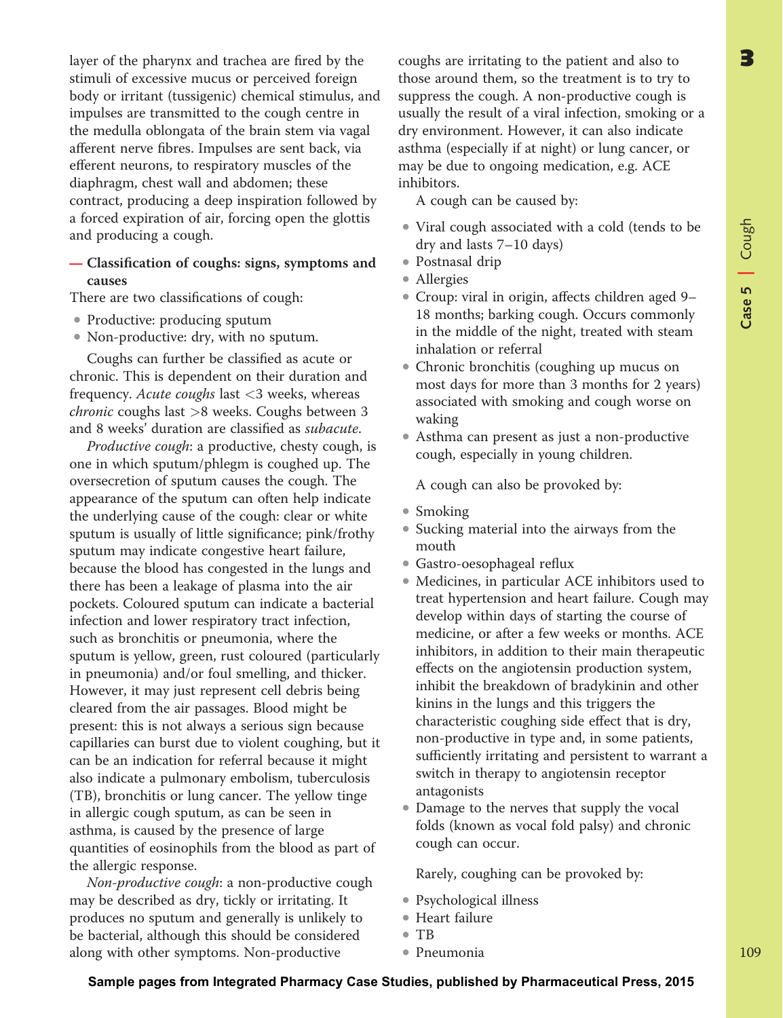layer of the pharynx and trachea are fired by the stimuli of excessive mucus or perceived foreign body or irritant (tussigenic) chemical stimulus, and impulses are transmitted to the cough centre in the medulla oblongata of the brain stem via vagal <sup>a</sup>fferent nerve fibres. Impulses are sent back, via <sup>e</sup>fferent neurons, to respiratory muscles of the diaphragm, chest wall and abdomen; these contract, producing <sup>a</sup> deep inspiration followed by <sup>a</sup> forced expiration of air, forcing open the glottis and producing <sup>a</sup> cough.

## — Classi fication of coughs: signs, symptoms and causes

There are two classi fications of cough:

- . Productive: producing sputum
- . Non-productive: dry, with no sputum.

Coughs can further be classi fied as acute or chronic. This is dependent on their duration and frequency. *Acute coughs* last <3 weeks, whereas chronic coughs last <sup>&</sup>gt;<sup>8</sup> weeks. Coughs between <sup>3</sup> and 8 weeks' duration are classified as *subacute*.

Productive cough: <sup>a</sup> productive, chesty cough, is one in which sputum/phlegm is coughed up. The oversecretion of sputum causes the cough. The appearance of the sputum can often help indicate the underlying cause of the cough: clear or white sputum is usually of little signi ficance; pink/frothy sputum may indicate congestive heart failure, because the blood has congested in the lungs and there has been <sup>a</sup> leakage of plasma into the air pockets. Coloured sputum can indicate <sup>a</sup> bacterial infection and lower respiratory tract infection, such as bronchitis or pneumonia, where the sputum is yellow, green, rust coloured (particularly in pneumonia) and/or foul smelling, and thicker. However, it may just represen<sup>t</sup> cell debris being cleared from the air passages. Blood might be present: this is not always <sup>a</sup> serious sign because capillaries can burst due to violent coughing, but it can be an indication for referral because it might also indicate <sup>a</sup> pulmonary embolism, tuberculosis (TB), bronchitis or lung cancer. The yellow tinge in allergic cough sputum, as can be seen in asthma, is caused by the presence of large quantities of eosinophils from the blood as par<sup>t</sup> of the allergic response.

Non-productive cough: <sup>a</sup> non-productive cough may be described as dry, tickly or irritating. It produces no sputum and generally is unlikely to be bacterial, although this should be considered along with other symptoms. Non-productive

coughs are irritating to the patient and also to those around them, so the treatment is to try to suppress the cough. A non-productive cough is usually the result of <sup>a</sup> viral infection, smoking or <sup>a</sup> dry environment. However, it can also indicate asthma (especially if at night) or lung cancer, or may be due to ongoing medication, e.g. ACE inhibitors.

A cough can be caused by:

- . Viral cough associated with <sup>a</sup> cold (tends to be dry and lasts <sup>7</sup> –<sup>10</sup> days)
- . Postnasal drip
- . Allergies
- . Croup: viral in origin, <sup>a</sup> ffects children aged 9 <sup>18</sup> months; barking cough. Occurs commonly in the middle of the night, treated with steam inhalation or referral
- . Chronic bronchitis (coughing up mucus on most days for more than <sup>3</sup> months for <sup>2</sup> years) associated with smoking and cough worse on waking
- . Asthma can presen<sup>t</sup> as just <sup>a</sup> non-productive cough, especially in young children.

A cough can also be provoked by:

- . Smoking
- . Sucking material into the airways from the mouth
- . Gastro-oesophageal re flux
- . Medicines, in particular ACE inhibitors used to treat hypertension and heart failure. Cough may develop within days of starting the course of medicine, or after <sup>a</sup> few weeks or months. ACE inhibitors, in addition to their main therapeutic <sup>e</sup>ffects on the angiotensin production system, inhibit the breakdown of bradykinin and other kinins in the lungs and this triggers the characteristic coughing side <sup>e</sup> ffect that is dry, non-productive in type and, in some patients, su fficiently irritating and persistent to warrant <sup>a</sup> switch in therapy to angiotensin receptor antagonists
- . Damage to the nerves that supply the vocal folds (known as vocal fold palsy) and chronic cough can occur.

Rarely, coughing can be provoked by:

- . Psychological illness
- Heart failure
- $\bullet$  TB
- . Pneumonia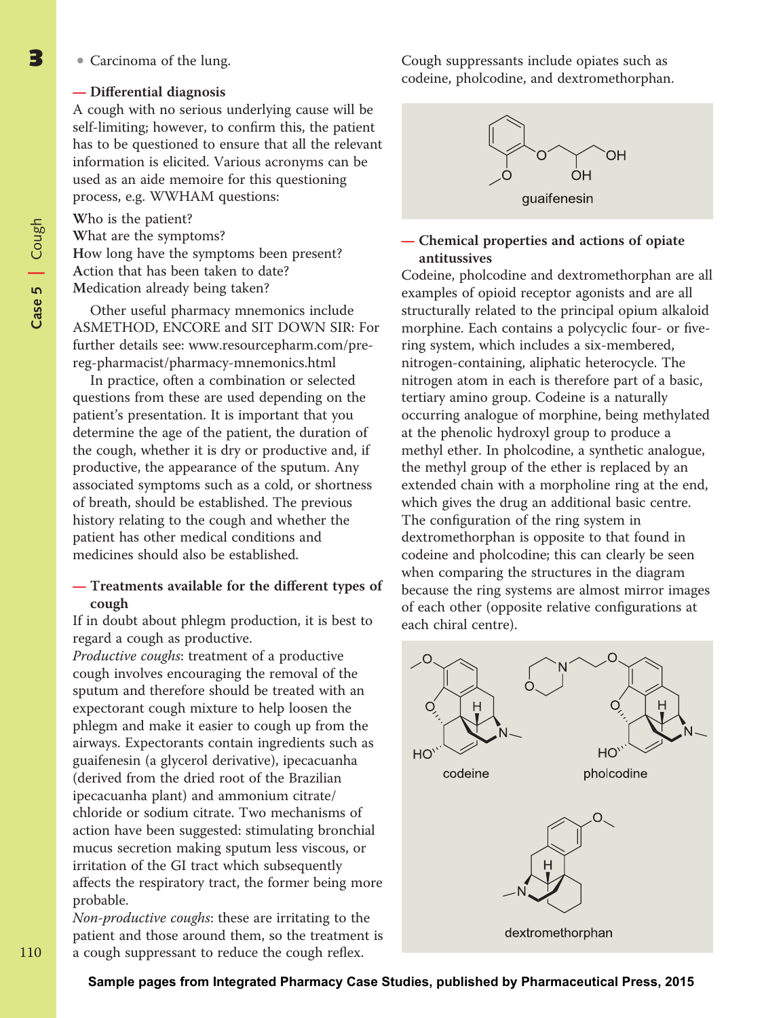## . Carcinoma of the lung.

## — Di fferential diagnosis

A cough with no serious underlying cause will be self-limiting; however, to con firm this, the patient has to be questioned to ensure that all the relevant information is elicited. Various acronyms can be used as an aide memoire for this questioning process, e.g. WWHAM questions:

Who is the patient? What are the symptoms? <sup>H</sup>ow long have the symptoms been present? Action that has been taken to date?<sup>M</sup>edication already being taken?

Other useful pharmacy mnemonics include ASMETHOD, ENCORE and SIT DOWN SIR: For further details see: www.resourcepharm.com/prereg-pharmacist/pharmacy-mnemonics.html

In practice, often <sup>a</sup> combination or selected questions from these are used depending on the patient'<sup>s</sup> presentation. It is important that you determine the age of the patient, the duration of the cough, whether it is dry or productive and, if productive, the appearance of the sputum. Any associated symptoms such as <sup>a</sup> cold, or shortness of breath, should be established. The previous history relating to the cough and whether the patient has other medical conditions and medicines should also be established.

## — Treatments available for the di fferent types of cough

If in doubt about phlegm production, it is best to regard <sup>a</sup> cough as productive.

Productive coughs: treatment of <sup>a</sup> productive cough involves encouraging the removal of the sputum and therefore should be treated with an expectorant cough mixture to help loosen the phlegm and make it easier to cough up from the airways. Expectorants contain ingredients such as guaifenesin (a glycerol derivative), ipecacuanha (derived from the dried root of the Brazilian ipecacuanha plant) and ammonium citrate/ chloride or sodium citrate. Two mechanisms ofaction have been suggested: stimulating bronchial mucus secretion making sputum less viscous, or irritation of the GI tract which subsequently <sup>a</sup>ffects the respiratory tract, the former being more probable.

Non-productive coughs: these are irritating to the patient and those around them, so the treatment is <sup>a</sup> cough suppressan<sup>t</sup> to reduce the cough re flex.

Cough suppressants include opiates such as codeine, pholcodine, and dextromethorphan.



## — Chemical properties and actions of opiate antitussives

Codeine, pholcodine and dextromethorphan are all examples of opioid receptor agonists and are all structurally related to the principal opium alkaloid morphine. Each contains <sup>a</sup> polycyclic four- or fivering system, which includes <sup>a</sup> six-membered, nitrogen-containing, aliphatic heterocycle. The nitrogen atom in each is therefore par<sup>t</sup> of <sup>a</sup> basic, tertiary amino group. Codeine is <sup>a</sup> naturally occurring analogue of morphine, being methylated at the phenolic hydroxyl group to produce <sup>a</sup> methyl ether. In pholcodine, <sup>a</sup> synthetic analogue, the methyl group of the ether is replaced by an extended chain with <sup>a</sup> morpholine ring at the end, which gives the drug an additional basic centre. The con figuration of the ring system in dextromethorphan is opposite to that found in codeine and pholcodine; this can clearly be seen when comparing the structures in the diagram because the ring systems are almost mirror images of each other (opposite relative con figurations at each chiral centre).



3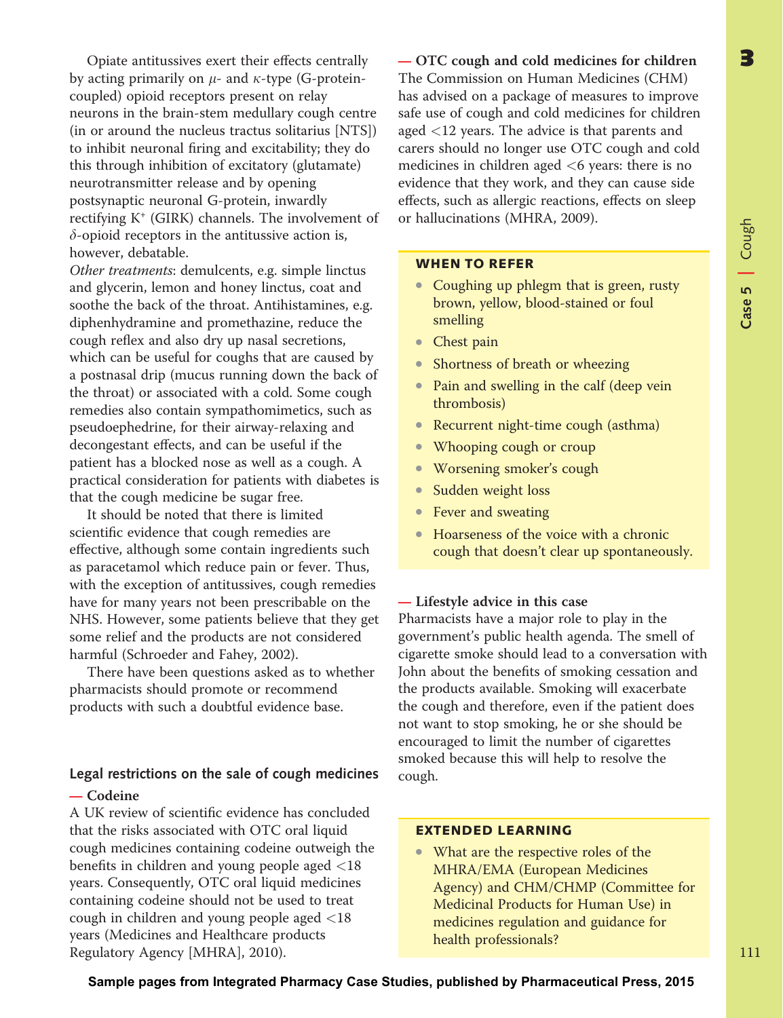Opiate antitussives exert their <sup>e</sup> ffects centrally by acting primarily on  $\mu$ - and  $\kappa$ -type (G-proteincoupled) opioid receptors presen<sup>t</sup> on relay neurons in the brain-stem medullary cough centre (in or around the nucleus tractus solitarius [NTS]) to inhibit neuronal firing and excitability; they do this through inhibition of excitatory (glutamate) neurotransmitter release and by opening postsynaptic neuronal G-protein, inwardly rectifying  $K^+$  (GIRK) channels. The involvement of  $\delta$ -opioid receptors in the antitussive action is, however, debatable.

Other treatments: demulcents, e.g. simple linctus and glycerin, lemon and honey linctus, coat and soothe the back of the throat. Antihistamines, e.g. diphenhydramine and promethazine, reduce the cough re flex and also dry up nasal secretions, which can be useful for coughs that are caused by <sup>a</sup> postnasal drip (mucus running down the back of the throat) or associated with <sup>a</sup> cold. Some cough remedies also contain sympathomimetics, such as pseudoephedrine, for their airway-relaxing and decongestant <sup>e</sup> ffects, and can be useful if the patient has <sup>a</sup> blocked nose as well as <sup>a</sup> cough. A practical consideration for patients with diabetes is that the cough medicine be sugar free.

It should be noted that there is limitedscienti fi<sup>c</sup> evidence that cough remedies are <sup>e</sup>ffective, although some contain ingredients such as paracetamol which reduce pain or fever. Thus, with the exception of antitussives, cough remedies have for many years not been prescribable on the NHS. However, some patients believe that they ge<sup>t</sup> some relief and the products are not considered harmful (Schroeder and Fahey, 2002).

There have been questions asked as to whether pharmacists should promote or recommend products with such <sup>a</sup> doubtful evidence base.

## Legal restrictions on the sale of cough medicines

## — Codeine

A UK review of scientifi<sup>c</sup> evidence has concludedthat the risks associated with OTC oral liquid cough medicines containing codeine outweigh the bene fits in children and young people aged <18 years. Consequently, OTC oral liquid medicines containing codeine should not be used to treat cough in children and young people aged <18 years (Medicines and Healthcare products Regulatory Agency [MHRA], 2010).

— OTC cough and cold medicines for children The Commission on Human Medicines (CHM) has advised on <sup>a</sup> package of measures to improve safe use of cough and cold medicines for children aged <sup>&</sup>lt;<sup>12</sup> years. The advice is that parents and carers should no longer use OTC cough and cold medicines in children aged <sup>&</sup>lt;6 years: there is no evidence that they work, and they can cause side <sup>e</sup>ffects, such as allergic reactions, <sup>e</sup> ffects on sleep or hallucinations (MHRA, 2009).

## WHEN TO REFER

- . Coughing up phlegm that is green, rusty brown, yellow, blood-stained or foul smelling
- . Chest pain
- . Shortness of breath or wheezing
- . Pain and swelling in the calf (deep vein thrombosis)
- . Recurrent night-time cough (asthma)
- . Whooping cough or croup
- . Worsening smoker'<sup>s</sup> cough
- . Sudden weight loss
- . Fever and sweating
- . Hoarseness of the voice with <sup>a</sup> chroniccough that doesn'<sup>t</sup> clear up spontaneously.

## — Lifestyle advice in this case

Pharmacists have <sup>a</sup> major role to play in the government'<sup>s</sup> public health agenda. The smell of cigarette smoke should lead to <sup>a</sup> conversation with John about the bene fits of smoking cessation and the products available. Smoking will exacerbate the cough and therefore, even if the patient does not want to stop smoking, he or she should be encouraged to limit the number of cigarettes smoked because this will help to resolve the cough.

## EXTENDED LEARNING

. What are the respective roles of the MHRA/EMA (European Medicines Agency) and CHM/CHMP (Committee for Medicinal Products for Human Use) in medicines regulation and guidance for health professionals?